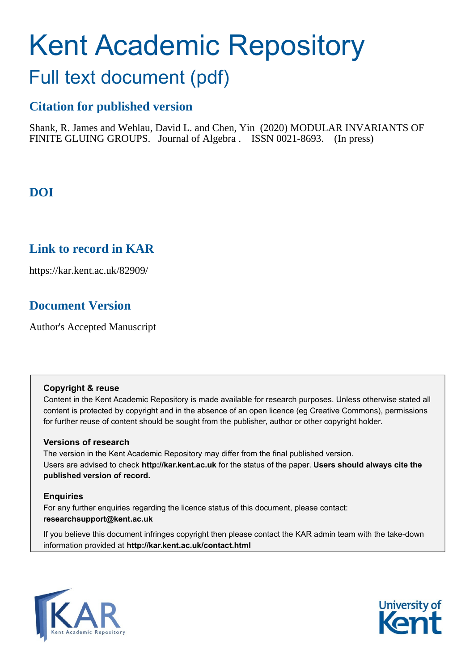# Kent Academic Repository

## Full text document (pdf)

## **Citation for published version**

Shank, R. James and Wehlau, David L. and Chen, Yin (2020) MODULAR INVARIANTS OF FINITE GLUING GROUPS. Journal of Algebra . ISSN 0021-8693. (In press)

## **DOI**

## **Link to record in KAR**

https://kar.kent.ac.uk/82909/

## **Document Version**

Author's Accepted Manuscript

#### **Copyright & reuse**

Content in the Kent Academic Repository is made available for research purposes. Unless otherwise stated all content is protected by copyright and in the absence of an open licence (eg Creative Commons), permissions for further reuse of content should be sought from the publisher, author or other copyright holder.

#### **Versions of research**

The version in the Kent Academic Repository may differ from the final published version. Users are advised to check **http://kar.kent.ac.uk** for the status of the paper. **Users should always cite the published version of record.**

#### **Enquiries**

For any further enquiries regarding the licence status of this document, please contact: **researchsupport@kent.ac.uk**

If you believe this document infringes copyright then please contact the KAR admin team with the take-down information provided at **http://kar.kent.ac.uk/contact.html**



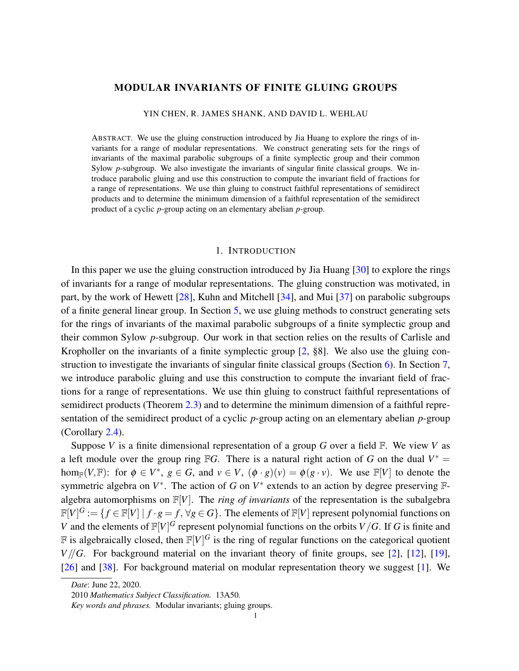#### MODULAR INVARIANTS OF FINITE GLUING GROUPS

YIN CHEN, R. JAMES SHANK, AND DAVID L. WEHLAU

ABSTRACT. We use the gluing construction introduced by Jia Huang to explore the rings of invariants for a range of modular representations. We construct generating sets for the rings of invariants of the maximal parabolic subgroups of a finite symplectic group and their common Sylow *p*-subgroup. We also investigate the invariants of singular finite classical groups. We introduce parabolic gluing and use this construction to compute the invariant field of fractions for a range of representations. We use thin gluing to construct faithful representations of semidirect products and to determine the minimum dimension of a faithful representation of the semidirect product of a cyclic *p*-group acting on an elementary abelian *p*-group.

#### 1. INTRODUCTION

In this paper we use the gluing construction introduced by Jia Huang [30] to explore the rings of invariants for a range of modular representations. The gluing construction was motivated, in part, by the work of Hewett  $[28]$ , Kuhn and Mitchell  $[34]$ , and Mui  $[37]$  on parabolic subgroups of a finite general linear group. In Section 5, we use gluing methods to construct generating sets for the rings of invariants of the maximal parabolic subgroups of a finite symplectic group and their common Sylow *p*-subgroup. Our work in that section relies on the results of Carlisle and Kropholler on the invariants of a finite symplectic group [2, §8]. We also use the gluing construction to investigate the invariants of singular finite classical groups (Section 6). In Section 7, we introduce parabolic gluing and use this construction to compute the invariant field of fractions for a range of representations. We use thin gluing to construct faithful representations of semidirect products (Theorem 2.3) and to determine the minimum dimension of a faithful representation of the semidirect product of a cyclic *p*-group acting on an elementary abelian *p*-group (Corollary 2.4).

Suppose *V* is a finite dimensional representation of a group *G* over a field F. We view *V* as a left module over the group ring FG. There is a natural right action of G on the dual  $V^* =$ hom<sub>F</sub>(*V*,F): for  $\phi \in V^*$ ,  $g \in G$ , and  $v \in V$ ,  $(\phi \cdot g)(v) = \phi(g \cdot v)$ . We use F[*V*] to denote the symmetric algebra on  $V^*$ . The action of *G* on  $V^*$  extends to an action by degree preserving  $\mathbb{F}$ algebra automorphisms on  $\mathbb{F}[V]$ . The *ring of invariants* of the representation is the subalgebra  $\mathbb{F}[V]^G := \{ f \in \mathbb{F}[V] \mid f \cdot g = f, \forall g \in G \}.$  The elements of  $\mathbb{F}[V]$  represent polynomial functions on *V* and the elements of  $\mathbb{F}[V]^G$  represent polynomial functions on the orbits *V*/*G*. If *G* is finite and  $F$  is algebraically closed, then  $F[V]^G$  is the ring of regular functions on the categorical quotient *V*//*G*. For background material on the invariant theory of finite groups, see [2], [12], [19], [26] and [38]. For background material on modular representation theory we suggest [1]. We

*Date*: June 22, 2020.

<sup>2010</sup> *Mathematics Subject Classification.* 13A50.

*Key words and phrases.* Modular invariants; gluing groups.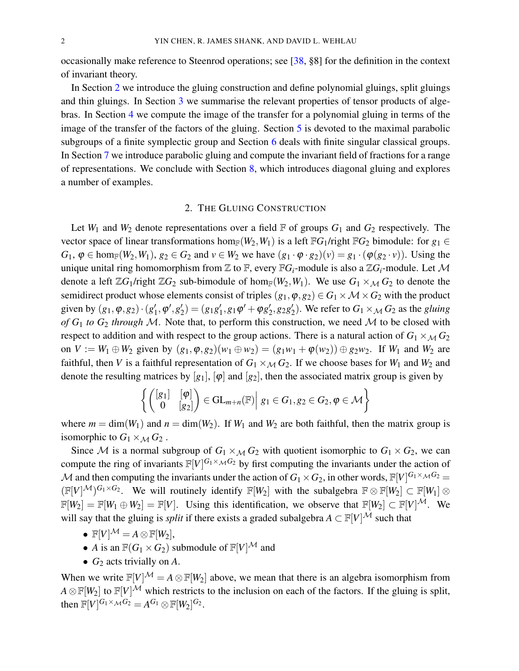occasionally make reference to Steenrod operations; see [38, §8] for the definition in the context of invariant theory.

In Section 2 we introduce the gluing construction and define polynomial gluings, split gluings and thin gluings. In Section 3 we summarise the relevant properties of tensor products of algebras. In Section 4 we compute the image of the transfer for a polynomial gluing in terms of the image of the transfer of the factors of the gluing. Section 5 is devoted to the maximal parabolic subgroups of a finite symplectic group and Section 6 deals with finite singular classical groups. In Section 7 we introduce parabolic gluing and compute the invariant field of fractions for a range of representations. We conclude with Section 8, which introduces diagonal gluing and explores a number of examples.

#### 2. THE GLUING CONSTRUCTION

Let  $W_1$  and  $W_2$  denote representations over a field  $\mathbb F$  of groups  $G_1$  and  $G_2$  respectively. The vector space of linear transformations hom<sub>F</sub>( $W_2, W_1$ ) is a left F*G*<sub>1</sub>/right F*G*<sub>2</sub> bimodule: for  $g_1 \in$  $G_1, \varphi \in \text{hom}_{\mathbb{F}}(W_2, W_1), g_2 \in G_2$  and  $v \in W_2$  we have  $(g_1 \cdot \varphi \cdot g_2)(v) = g_1 \cdot (\varphi(g_2 \cdot v))$ . Using the unique unital ring homomorphism from  $\mathbb Z$  to  $\mathbb F$ , every  $\mathbb FG_i$ -module is also a  $\mathbb ZG_i$ -module. Let M denote a left  $\mathbb{Z}G_1$ /right  $\mathbb{Z}G_2$  sub-bimodule of hom<sub>F</sub>( $W_2, W_1$ ). We use  $G_1 \times_M G_2$  to denote the semidirect product whose elements consist of triples  $(g_1, \varphi, g_2) \in G_1 \times \mathcal{M} \times G_2$  with the product given by  $(g_1, \varphi, g_2) \cdot (g_1)$  $'_{1}, \varphi', g'_{2}$  $g_2'$ ) =  $(g_1g_1')$  $y'_1, g_1\varphi' + \varphi g'_2$  $'_{2}$ ,  $g_{2}g'_{2}$  $\mathcal{L}_2'$ ). We refer to  $G_1 \times_{\mathcal{M}} G_2$  as the *gluing* of  $G_1$  to  $G_2$  through M. Note that, to perform this construction, we need M to be closed with respect to addition and with respect to the group actions. There is a natural action of  $G_1 \times_M G_2$ on  $V := W_1 \oplus W_2$  given by  $(g_1, \varphi, g_2)(w_1 \oplus w_2) = (g_1w_1 + \varphi(w_2)) \oplus g_2w_2$ . If  $W_1$  and  $W_2$  are faithful, then *V* is a faithful representation of  $G_1 \times_M G_2$ . If we choose bases for  $W_1$  and  $W_2$  and denote the resulting matrices by  $[g_1]$ ,  $[\varphi]$  and  $[g_2]$ , then the associated matrix group is given by

$$
\left\{ \begin{pmatrix} [g_1] & [{\boldsymbol{\varphi}}] \\ 0 & [g_2] \end{pmatrix} \in GL_{m+n}(\mathbb{F}) \middle| g_1 \in G_1, g_2 \in G_2, {\boldsymbol{\varphi}} \in \mathcal{M} \right\}
$$

where  $m = \dim(W_1)$  and  $n = \dim(W_2)$ . If  $W_1$  and  $W_2$  are both faithful, then the matrix group is isomorphic to  $G_1 \times_M G_2$ .

Since M is a normal subgroup of  $G_1 \times_M G_2$  with quotient isomorphic to  $G_1 \times G_2$ , we can compute the ring of invariants  $\mathbb{F}[V]^{G_1 \times_M G_2}$  by first computing the invariants under the action of  $M$  and then computing the invariants under the action of  $G_1 \times G_2$ , in other words,  $\mathbb{F}[V]^{G_1 \times_M G_2}$  =  $(\mathbb{F}[V]^{\mathcal{M}})^{G_1 \times G_2}$ . We will routinely identify  $\mathbb{F}[W_2]$  with the subalgebra  $\mathbb{F} \otimes \mathbb{F}[W_2] \subset \mathbb{F}[W_1] \otimes$  $\mathbb{F}[W_2] = \mathbb{F}[W_1 \oplus W_2] = \mathbb{F}[V]$ . Using this identification, we observe that  $\mathbb{F}[W_2] \subset \mathbb{F}[V]^\mathcal{M}$ . We will say that the gluing is *split* if there exists a graded subalgebra  $A \subset \mathbb{F}[V]^{\mathcal{M}}$  such that

- $\mathbb{F}[V]^{\mathcal{M}} = A \otimes \mathbb{F}[W_2],$
- *A* is an  $\mathbb{F}(G_1 \times G_2)$  submodule of  $\mathbb{F}[V]^{\mathcal{M}}$  and
- $G_2$  acts trivially on  $A$ .

When we write  $\mathbb{F}[V]^{\mathcal{M}} = A \otimes \mathbb{F}[W_2]$  above, we mean that there is an algebra isomorphism from  $A \otimes \mathbb{F}[W_2]$  to  $\mathbb{F}[V]^{\mathcal{M}}$  which restricts to the inclusion on each of the factors. If the gluing is split, then  $\mathbb{F}[V]^{G_1 \times_{\mathcal{M}} G_2} = A^{G_1} \otimes \mathbb{F}[W_2]^{G_2}$ .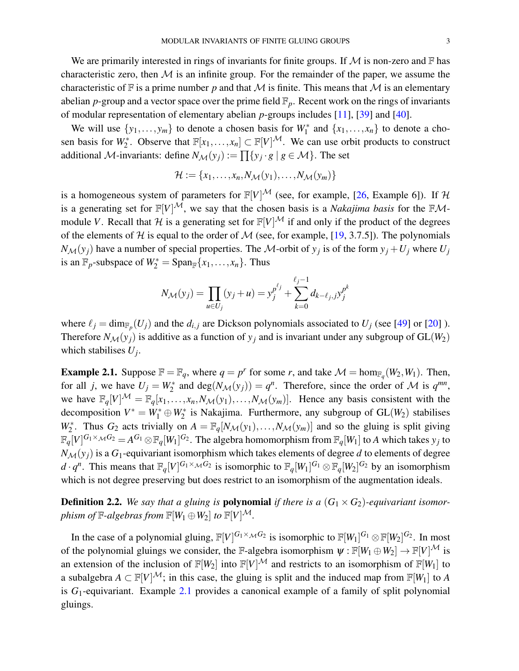We are primarily interested in rings of invariants for finite groups. If  $M$  is non-zero and  $F$  has characteristic zero, then  $M$  is an infinite group. For the remainder of the paper, we assume the characteristic of  $\mathbb F$  is a prime number p and that M is finite. This means that M is an elementary abelian *p*-group and a vector space over the prime field  $\mathbb{F}_p$ . Recent work on the rings of invariants of modular representation of elementary abelian *p*-groups includes [11], [39] and [40].

We will use  $\{y_1, \ldots, y_m\}$  to denote a chosen basis for  $W_1^*$  and  $\{x_1, \ldots, x_n\}$  to denote a chosen basis for  $W_2^*$ . Observe that  $\mathbb{F}[x_1,\ldots,x_n] \subset \mathbb{F}[V]^{\mathcal{M}}$ . We can use orbit products to construct additional *M*-invariants: define  $N_{\mathcal{M}}(y_j) := \prod \{y_j \cdot g \mid g \in \mathcal{M}\}\.$  The set

$$
\mathcal{H} := \{x_1, \ldots, x_n, N_{\mathcal{M}}(y_1), \ldots, N_{\mathcal{M}}(y_m)\}\
$$

is a homogeneous system of parameters for  $\mathbb{F}[V]^{\mathcal{M}}$  (see, for example, [26, Example 6]). If H is a generating set for  $\mathbb{F}[V]^{\mathcal{M}}$ , we say that the chosen basis is a *Nakajima basis* for the  $\mathbb{F}\mathcal{M}$ module *V*. Recall that *H* is a generating set for  $\mathbb{F}[V]^{\mathcal{M}}$  if and only if the product of the degrees of the elements of H is equal to the order of M (see, for example, [19, 3.7.5]). The polynomials *N*<sub>M</sub>(*y*<sub>*j*</sub>) have a number of special properties. The *M*-orbit of *y*<sub>*j*</sub> is of the form  $y_j + U_j$  where  $U_j$ is an  $\mathbb{F}_p$ -subspace of  $W_2^* = \text{Span}_{\mathbb{F}}\{x_1, \ldots, x_n\}$ . Thus

$$
N_{\mathcal{M}}(y_j) = \prod_{u \in U_j} (y_j + u) = y_j^{p^{\ell_j}} + \sum_{k=0}^{\ell_j - 1} d_{k - \ell_j, j} y_j^{p^k}
$$

where  $\ell_j = \dim_{\mathbb{F}_p}(U_j)$  and the  $d_{i,j}$  are Dickson polynomials associated to  $U_j$  (see [49] or [20] ). Therefore  $N_{\mathcal{M}}(y_i)$  is additive as a function of  $y_i$  and is invariant under any subgroup of  $GL(W_2)$ which stabilises *U<sup>j</sup>* .

**Example 2.1.** Suppose  $\mathbb{F} = \mathbb{F}_q$ , where  $q = p^r$  for some *r*, and take  $\mathcal{M} = \text{hom}_{\mathbb{F}_q}(W_2, W_1)$ . Then, for all *j*, we have  $U_j = W_2^*$  and  $deg(N_M(y_j)) = q^n$ . Therefore, since the order of M is  $q^{mn}$ , we have  $\mathbb{F}_q[V]^{\mathcal{M}} = \mathbb{F}_q[x_1,\ldots,x_n,N_{\mathcal{M}}(y_1),\ldots,N_{\mathcal{M}}(y_m)]$ . Hence any basis consistent with the decomposition  $V^* = W_1^* \oplus W_2^*$  is Nakajima. Furthermore, any subgroup of  $GL(W_2)$  stabilises  $W_2^*$ . Thus  $G_2$  acts trivially on  $A = \mathbb{F}_q[N_{\mathcal{M}}(y_1),...,N_{\mathcal{M}}(y_m)]$  and so the gluing is split giving  $\mathbb{F}_q[V]^{G_1\times_\mathcal{M} G_2}=A^{G_1}\otimes \mathbb{F}_q[W_1]^{G_2}.$  The algebra homomorphism from  $\mathbb{F}_q[W_1]$  to  $A$  which takes  $y_j$  to  $N_{\mathcal{M}}(y_i)$  is a  $G_1$ -equivariant isomorphism which takes elements of degree *d* to elements of degree  $d \cdot q^n$ . This means that  $\mathbb{F}_q[V]^{G_1 \times M}$  *G*<sub>2</sub> is isomorphic to  $\mathbb{F}_q[W_1]^{G_1} \otimes \mathbb{F}_q[W_2]^{G_2}$  by an isomorphism which is not degree preserving but does restrict to an isomorphism of the augmentation ideals.

**Definition 2.2.** We say that a gluing is **polynomial** if there is a  $(G_1 \times G_2)$ -equivariant isomor*phism of*  $\mathbb{F}\text{-}algebras from  $\mathbb{F}[W_1 \oplus W_2]$  to  $\mathbb{F}[V]^{\mathcal{M}}$ .$ 

In the case of a polynomial gluing,  $\mathbb{F}[V]^{G_1 \times_M G_2}$  is isomorphic to  $\mathbb{F}[W_1]^{G_1} \otimes \mathbb{F}[W_2]^{G_2}$ . In most of the polynomial gluings we consider, the F-algebra isomorphism  $\psi : \mathbb{F}[W_1 \oplus W_2] \to \mathbb{F}[V]^{\mathcal{M}}$  is an extension of the inclusion of  $\mathbb{F}[W_2]$  into  $\mathbb{F}[V]^{\mathcal{M}}$  and restricts to an isomorphism of  $\mathbb{F}[W_1]$  to a subalgebra  $A \subset \mathbb{F}[V]^{\mathcal{M}}$ ; in this case, the gluing is split and the induced map from  $\mathbb{F}[W_1]$  to *A* is *G*1-equivariant. Example 2.1 provides a canonical example of a family of split polynomial gluings.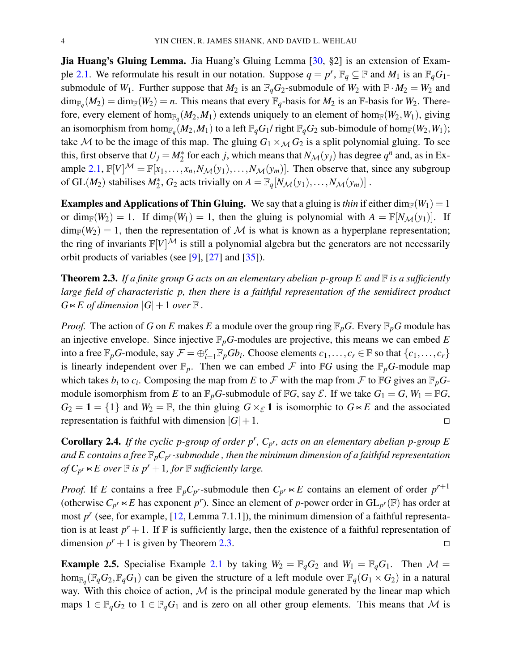**Jia Huang's Gluing Lemma.** Jia Huang's Gluing Lemma [30, §2] is an extension of Example 2.1. We reformulate his result in our notation. Suppose  $q = p^r$ ,  $\mathbb{F}_q \subseteq \mathbb{F}$  and  $M_1$  is an  $\mathbb{F}_q G_1$ submodule of  $W_1$ . Further suppose that  $M_2$  is an  $\mathbb{F}_qG_2$ -submodule of  $W_2$  with  $\mathbb{F} \cdot M_2 = W_2$  and  $\dim_{\mathbb{F}_q}(M_2) = \dim_{\mathbb{F}}(W_2) = n$ . This means that every  $\mathbb{F}_q$ -basis for  $M_2$  is an  $\mathbb{F}$ -basis for  $W_2$ . Therefore, every element of hom<sub> $\mathbb{F}_q(M_2, M_1)$  extends uniquely to an element of hom $_{\mathbb{F}}(W_2, W_1)$ , giving</sub> an isomorphism from hom $_{\mathbb{F}_q}(M_2,M_1)$  to a left  $\mathbb{F}_qG_1$ / right  $\mathbb{F}_qG_2$  sub-bimodule of hom $_{\mathbb{F}}(W_2,W_1)$ ; take M to be the image of this map. The gluing  $G_1 \times_M G_2$  is a split polynomial gluing. To see this, first observe that  $U_j = M_2^*$  for each *j*, which means that  $N_{\mathcal{M}}(y_j)$  has degree  $q^n$  and, as in Example 2.1,  $\mathbb{F}[V]^{\mathcal{M}} = \mathbb{F}[x_1,\ldots,x_n,N_{\mathcal{M}}(y_1),\ldots,N_{\mathcal{M}}(y_m)]$ . Then observe that, since any subgroup of GL(*M*<sub>2</sub>) stabilises  $M_2^*$ ,  $G_2$  acts trivially on  $A = \mathbb{F}_q[N_{\mathcal{M}}(y_1),...,N_{\mathcal{M}}(y_m)]$ .

**Examples and Applications of Thin Gluing.** We say that a gluing is *thin* if either dim<sub>F</sub>( $W_1$ ) = 1 or dim<sub>F</sub>(*W*<sub>2</sub>) = 1. If dim<sub>F</sub>(*W*<sub>1</sub>) = 1, then the gluing is polynomial with  $A = \mathbb{F}[N_{\mathcal{M}}(y_1)]$ . If  $\dim_{\mathbb{F}}(W_2) = 1$ , then the representation of M is what is known as a hyperplane representation; the ring of invariants  $\mathbb{F}[V]^{\mathcal{M}}$  is still a polynomial algebra but the generators are not necessarily orbit products of variables (see [9], [27] and [35]).

Theorem 2.3. *If a finite group G acts on an elementary abelian p-group E and* F *is a sufficiently large field of characteristic p, then there is a faithful representation of the semidirect product*  $G \ltimes E$  *of dimension*  $|G|+1$  *over*  $\mathbb F$  *.* 

*Proof.* The action of *G* on *E* makes *E* a module over the group ring  $\mathbb{F}_p G$ . Every  $\mathbb{F}_p G$  module has an injective envelope. Since injective F*pG*-modules are projective, this means we can embed *E* into a free  $\mathbb{F}_p$ *G*-module, say  $\mathcal{F} = \bigoplus_{i=1}^r \mathbb{F}_p G b_i$ . Choose elements  $c_1, \ldots, c_r \in \mathbb{F}$  so that  $\{c_1, \ldots, c_r\}$ is linearly independent over  $\mathbb{F}_p$ . Then we can embed  $\mathcal F$  into  $\mathbb F G$  using the  $\mathbb{F}_p G$ -module map which takes  $b_i$  to  $c_i$ . Composing the map from *E* to *F* with the map from *F* to F*G* gives an  $\mathbb{F}_pG$ module isomorphism from *E* to an  $\mathbb{F}_p$ *G*-submodule of  $\mathbb{F}G$ , say  $\mathcal{E}$ . If we take  $G_1 = G$ ,  $W_1 = \mathbb{F}G$ ,  $G_2 = 1 = \{1\}$  and  $W_2 = \mathbb{F}$ , the thin gluing  $G \times_{\mathcal{E}} 1$  is isomorphic to  $G \times E$  and the associated representation is faithful with dimension  $|G|+1$ .

**Corollary 2.4.** If the cyclic p-group of order  $p^r$ ,  $C_{p^r}$ , acts on an elementary abelian p-group E and  $E$  contains a free  $\mathbb{F}_pC_{p^r}$ -submodule , then the minimum dimension of a faithful representation *of*  $C_{p^r}$   $\lt E$  *over*  $\mathbb F$  *is p<sup>r</sup>* + 1*, for*  $\mathbb F$  *sufficiently large.* 

*Proof.* If *E* contains a free  $\mathbb{F}_p C_{p^r}$ -submodule then  $C_{p^r} \lt E$  contains an element of order  $p^{r+1}$ (otherwise  $C_{p^r} \lt E$  has exponent  $p^r$ ). Since an element of *p*-power order in  $GL_{p^r}(\mathbb{F})$  has order at most  $p^r$  (see, for example, [12, Lemma 7.1.1]), the minimum dimension of a faithful representation is at least  $p^r + 1$ . If  $\mathbb F$  is sufficiently large, then the existence of a faithful representation of dimension  $p^r + 1$  is given by Theorem 2.3.

**Example 2.5.** Specialise Example 2.1 by taking  $W_2 = \mathbb{F}_q G_2$  and  $W_1 = \mathbb{F}_q G_1$ . Then  $\mathcal{M} =$ hom<sub>F<sub>q</sub></sub>( $F_qG_2$ , $F_qG_1$ ) can be given the structure of a left module over  $F_q(G_1 \times G_2)$  in a natural way. With this choice of action,  $M$  is the principal module generated by the linear map which maps  $1 \in \mathbb{F}_qG_2$  to  $1 \in \mathbb{F}_qG_1$  and is zero on all other group elements. This means that M is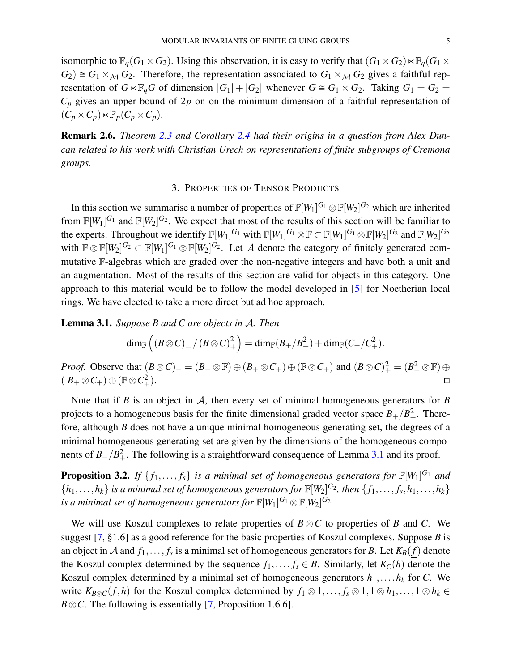isomorphic to  $\mathbb{F}_q(G_1 \times G_2)$ . Using this observation, it is easy to verify that  $(G_1 \times G_2) \ltimes \mathbb{F}_q(G_1 \times G_2)$  $G_2$ )  $\cong G_1 \times_M G_2$ . Therefore, the representation associated to  $G_1 \times_M G_2$  gives a faithful representation of  $G \ltimes \mathbb{F}_q G$  of dimension  $|G_1| + |G_2|$  whenever  $G \cong G_1 \times G_2$ . Taking  $G_1 = G_2$  $C_p$  gives an upper bound of  $2p$  on on the minimum dimension of a faithful representation of  $(C_p \times C_p) \ltimes \mathbb{F}_p(C_p \times C_p).$ 

Remark 2.6. *Theorem 2.3 and Corollary 2.4 had their origins in a question from Alex Duncan related to his work with Christian Urech on representations of finite subgroups of Cremona groups.*

#### 3. PROPERTIES OF TENSOR PRODUCTS

In this section we summarise a number of properties of  $\mathbb{F}[W_1]^{G_1} \otimes \mathbb{F}[W_2]^{G_2}$  which are inherited from  $\mathbb{F}[W_1]^{G_1}$  and  $\mathbb{F}[W_2]^{G_2}$ . We expect that most of the results of this section will be familiar to the experts. Throughout we identify  $\mathbb{F}[W_1]^{G_1}$  with  $\mathbb{F}[W_1]^{G_1} \otimes \mathbb{F} \subset \mathbb{F}[W_1]^{G_1} \otimes \mathbb{F}[W_2]^{G_2}$  and  $\mathbb{F}[W_2]^{G_2}$ with  $\mathbb{F}\otimes\mathbb{F}[W_2]^{G_2}\subset \mathbb{F}[W_1]^{G_1}\otimes\mathbb{F}[W_2]^{G_2}$ . Let A denote the category of finitely generated commutative F-algebras which are graded over the non-negative integers and have both a unit and an augmentation. Most of the results of this section are valid for objects in this category. One approach to this material would be to follow the model developed in [5] for Noetherian local rings. We have elected to take a more direct but ad hoc approach.

Lemma 3.1. *Suppose B and C are objects in* A*. Then*

$$
\dim_{\mathbb{F}} \left( \left( B \otimes C \right)_+ \big/ \left( B \otimes C \right)_+^2 \right) = \dim_{\mathbb{F}}(B_+/B_+^2) + \dim_{\mathbb{F}}(C_+/C_+^2).
$$

*Proof.* Observe that  $(B \otimes C)_+ = (B_+ \otimes \mathbb{F}) \oplus (B_+ \otimes C_+) \oplus (\mathbb{F} \otimes C_+)$  and  $(B \otimes C)_+^2 = (B_+^2 \otimes \mathbb{F}) \oplus$  $(B_+ \otimes C_+) \oplus (\mathbb{F} \otimes C_+^2)$  $\frac{2}{x}$ ).

Note that if *B* is an object in *A*, then every set of minimal homogeneous generators for *B* projects to a homogeneous basis for the finite dimensional graded vector space  $B_{+}/B_{+}^2$ . Therefore, although *B* does not have a unique minimal homogeneous generating set, the degrees of a minimal homogeneous generating set are given by the dimensions of the homogeneous components of  $B_+/B_+^2$ . The following is a straightforward consequence of Lemma 3.1 and its proof.

**Proposition 3.2.** If  $\{f_1, \ldots, f_s\}$  is a minimal set of homogeneous generators for  $\mathbb{F}[W_1]^{G_1}$  and  $\{h_1,\ldots,h_k\}$  is a minimal set of homogeneous generators for  $\mathbb{F}[W_2]^{G_2}$ , then  $\{f_1,\ldots,f_s,h_1,\ldots,h_k\}$ is a minimal set of homogeneous generators for  $\mathbb{F}[W_1]^{G_1} \otimes \mathbb{F}[W_2]^{G_2}$ .

We will use Koszul complexes to relate properties of  $B \otimes C$  to properties of *B* and *C*. We suggest [7, §1.6] as a good reference for the basic properties of Koszul complexes. Suppose *B* is an object in  ${\mathcal A}$  and  $f_1,\ldots,f_s$  is a minimal set of homogeneous generators for  $B.$  Let  $K_B(f)$  denote the Koszul complex determined by the sequence  $f_1, \ldots, f_s \in B$ . Similarly, let  $K_C(h)$  denote the Koszul complex determined by a minimal set of homogeneous generators  $h_1, \ldots, h_k$  for *C*. We write  $K_{B\otimes C}(\underline{f}, \underline{h})$  for the Koszul complex determined by  $f_1 \otimes 1, \ldots, f_s \otimes 1, 1 \otimes h_1, \ldots, 1 \otimes h_k \in$ *B*⊗*C*. The following is essentially [7, Proposition 1.6.6].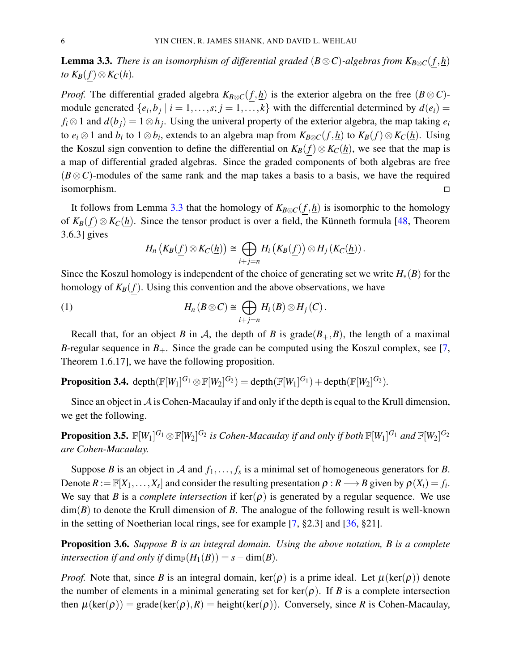**Lemma 3.3.** *There is an isomorphism of differential graded* ( $B \otimes C$ )-algebras from  $K_{B \otimes C}(f, h)$ *to*  $K_B(f) ⊗ K_C(\underline{h})$ *.* 

*Proof.* The differential graded algebra  $K_{B\otimes C}(f, h)$  is the exterior algebra on the free  $(B \otimes C)$ module generated  $\{e_i, b_j \mid i = 1, \ldots, s; j = 1, \ldots, k\}$  with the differential determined by  $d(e_i) =$  $f_i \otimes 1$  and  $d(b_j) = 1 \otimes h_j$ . Using the univeral property of the exterior algebra, the map taking  $e_i$ to  $e_i \otimes 1$  and  $b_i$  to  $1 \otimes b_i$ , extends to an algebra map from  $K_{B \otimes C}(f, h)$  to  $K_B(f) \otimes K_C(h)$ . Using the Koszul sign convention to define the differential on  $K_B(f) \otimes K_C(h)$ , we see that the map is a map of differential graded algebras. Since the graded components of both algebras are free  $(B \otimes C)$ -modules of the same rank and the map takes a basis to a basis, we have the required isomorphism.

It follows from Lemma 3.3 that the homology of  $K_{B\otimes C}(f, \underline{h})$  is isomorphic to the homology of  $K_B(f) \otimes K_C(h)$ . Since the tensor product is over a field, the Künneth formula [48, Theorem 3.6.3] gives

$$
H_n\left(K_B(\underline{f})\otimes K_C(\underline{h})\right)\cong \bigoplus_{i+j=n} H_i\left(K_B(\underline{f})\right)\otimes H_j\left(K_C(\underline{h})\right).
$$

Since the Koszul homology is independent of the choice of generating set we write  $H_*(B)$  for the homology of  $K_B(f)$ . Using this convention and the above observations, we have

(1) 
$$
H_n(B \otimes C) \cong \bigoplus_{i+j=n} H_i(B) \otimes H_j(C).
$$

Recall that, for an object *B* in *A*, the depth of *B* is grade( $B_+, B$ ), the length of a maximal *B*-regular sequence in  $B_+$ . Since the grade can be computed using the Koszul complex, see [7, Theorem 1.6.17], we have the following proposition.

**Proposition 3.4.** depth $(\mathbb{F}[W_1]^{G_1} \otimes \mathbb{F}[W_2]^{G_2}) = \text{depth}(\mathbb{F}[W_1]^{G_1}) + \text{depth}(\mathbb{F}[W_2]^{G_2})$ .

Since an object in  $\mathcal A$  is Cohen-Macaulay if and only if the depth is equal to the Krull dimension, we get the following.

 ${\bf Proposition 3.5.} \ \ \mathbb{F}[W_1]^{G_1}\otimes \mathbb{F}[W_2]^{G_2}$  is Cohen-Macaulay if and only if both  $\mathbb{F}[W_1]^{G_1}$  and  $\mathbb{F}[W_2]^{G_2}$ *are Cohen-Macaulay.*

Suppose *B* is an object in A and  $f_1, \ldots, f_s$  is a minimal set of homogeneous generators for *B*. Denote  $R := \mathbb{F}[X_1,\ldots,X_s]$  and consider the resulting presentation  $\rho: R \longrightarrow B$  given by  $\rho(X_i) = f_i$ . We say that *B* is a *complete intersection* if  $\text{ker}(\rho)$  is generated by a regular sequence. We use dim(*B*) to denote the Krull dimension of *B*. The analogue of the following result is well-known in the setting of Noetherian local rings, see for example [7, §2.3] and [36, §21].

Proposition 3.6. *Suppose B is an integral domain. Using the above notation, B is a complete intersection if and only if* dim<sub> $F$ </sub> $(H_1(B)) = s - \dim(B)$ *.* 

*Proof.* Note that, since *B* is an integral domain, ker( $\rho$ ) is a prime ideal. Let  $\mu(\text{ker}(\rho))$  denote the number of elements in a minimal generating set for  $\text{ker}(\rho)$ . If *B* is a complete intersection then  $\mu(\text{ker}(\rho)) = \text{grade}(\text{ker}(\rho), R) = \text{height}(\text{ker}(\rho))$ . Conversely, since *R* is Cohen-Macaulay,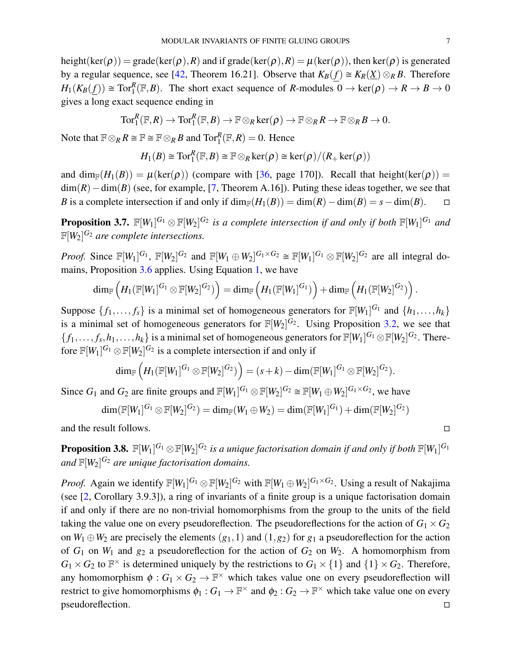height(ker( $\rho$ )) = grade(ker( $\rho$ ), R) and if grade(ker( $\rho$ ), R) =  $\mu$ (ker( $\rho$ )), then ker( $\rho$ ) is generated by a regular sequence, see [42, Theorem 16.21]. Observe that  $K_B(f) \cong K_R(X) \otimes_R B$ . Therefore  $H_1(K_B(f)) \cong \text{Tor}_1^R(\mathbb{F},B)$ . The short exact sequence of *R*-modules  $0 \to \text{ker}(\rho) \to R \to B \to 0$ gives a long exact sequence ending in

$$
\text{Tor}^R_1(\mathbb{F},R)\rightarrow \text{Tor}^R_1(\mathbb{F},B)\rightarrow \mathbb{F}\otimes_R \text{ker}(\boldsymbol{\rho})\rightarrow \mathbb{F}\otimes_R R\rightarrow \mathbb{F}\otimes_R B\rightarrow 0.
$$

Note that  $\mathbb{F} \otimes_R R \cong \mathbb{F} \cong \mathbb{F} \otimes_R B$  and  $\text{Tor}_1^R(\mathbb{F},R) = 0$ . Hence

$$
H_1(B) \cong \text{Tor}_1^R(\mathbb{F},B) \cong \mathbb{F} \otimes_R \text{ker}(\rho) \cong \text{ker}(\rho)/(R_+\text{ker}(\rho))
$$

and dim<sub>F</sub>( $H_1(B)$ ) =  $\mu$ (ker( $\rho$ )) (compare with [36, page 170]). Recall that height(ker( $\rho$ )) = dim(*R*)−dim(*B*) (see, for example, [7, Theorem A.16]). Puting these ideas together, we see that *B* is a complete intersection if and only if  $\dim_{\mathbb{F}}(H_1(B)) = \dim(R) - \dim(B) = s - \dim(B)$ .  $\Box$ 

**Proposition 3.7.**  $\mathbb{F}[W_1]^{G_1} \otimes \mathbb{F}[W_2]^{G_2}$  is a complete intersection if and only if both  $\mathbb{F}[W_1]^{G_1}$  and  $\mathbb{F}[W_2]^{G_2}$  are complete intersections.

*Proof.* Since  $\mathbb{F}[W_1]^{G_1}$ ,  $\mathbb{F}[W_2]^{G_2}$  and  $\mathbb{F}[W_1 \oplus W_2]^{G_1 \times G_2} \cong \mathbb{F}[W_1]^{G_1} \otimes \mathbb{F}[W_2]^{G_2}$  are all integral domains, Proposition 3.6 applies. Using Equation 1, we have

$$
\dim_{\mathbb{F}}\left(H_1(\mathbb{F}[W_1]^{G_1}\otimes \mathbb{F}[W_2]^{G_2})\right)=\dim_{\mathbb{F}}\left(H_1(\mathbb{F}[W_1]^{G_1})\right)+\dim_{\mathbb{F}}\left(H_1(\mathbb{F}[W_2]^{G_2})\right).
$$

Suppose  $\{f_1, \ldots, f_s\}$  is a minimal set of homogeneous generators for  $\mathbb{F}[W_1]^{G_1}$  and  $\{h_1, \ldots, h_k\}$ is a minimal set of homogeneous generators for  $\mathbb{F}[W_2]^{G_2}$ . Using Proposition 3.2, we see that  $\{f_1,\ldots,f_s,h_1,\ldots,h_k\}$  is a minimal set of homogeneous generators for  $\mathbb{F}[W_1]^{G_1} \otimes \mathbb{F}[W_2]^{G_2}$ . Therefore  $\mathbb{F}[W_1]^{G_1} \otimes \mathbb{F}[W_2]^{G_2}$  is a complete intersection if and only if

$$
\dim_{\mathbb{F}}\left(H_1(\mathbb{F}[W_1]^{G_1}\otimes \mathbb{F}[W_2]^{G_2})\right)=(s+k)-\dim(\mathbb{F}[W_1]^{G_1}\otimes \mathbb{F}[W_2]^{G_2}).
$$

Since  $G_1$  and  $G_2$  are finite groups and  $\mathbb{F}[W_1]^{G_1} \otimes \mathbb{F}[W_2]^{G_2} \cong \mathbb{F}[W_1 \oplus W_2]^{G_1 \times G_2}$ , we have

$$
\dim(\mathbb{F}[W_1]^{G_1}\otimes \mathbb{F}[W_2]^{G_2})=\dim_{\mathbb{F}}(W_1\oplus W_2)=\dim(\mathbb{F}[W_1]^{G_1})+\dim(\mathbb{F}[W_2]^{G_2})
$$

and the result follows.

**Proposition 3.8.**  $\mathbb{F}[W_1]^{G_1}\otimes \mathbb{F}[W_2]^{G_2}$  is a unique factorisation domain if and only if both  $\mathbb{F}[W_1]^{G_1}$ and  $\mathbb{F}[W_2]^{G_2}$  are unique factorisation domains.

*Proof.* Again we identify  $\mathbb{F}[W_1]^{G_1} \otimes \mathbb{F}[W_2]^{G_2}$  with  $\mathbb{F}[W_1 \oplus W_2]^{G_1 \times G_2}$ . Using a result of Nakajima (see [2, Corollary 3.9.3]), a ring of invariants of a finite group is a unique factorisation domain if and only if there are no non-trivial homomorphisms from the group to the units of the field taking the value one on every pseudoreflection. The pseudoreflections for the action of  $G_1 \times G_2$ on  $W_1 \oplus W_2$  are precisely the elements  $(g_1,1)$  and  $(1,g_2)$  for  $g_1$  a pseudoreflection for the action of  $G_1$  on  $W_1$  and  $g_2$  a pseudoreflection for the action of  $G_2$  on  $W_2$ . A homomorphism from  $G_1 \times G_2$  to  $\mathbb{F}^\times$  is determined uniquely by the restrictions to  $G_1 \times \{1\}$  and  $\{1\} \times G_2$ . Therefore, any homomorphism  $\phi: G_1 \times G_2 \to \mathbb{F}^\times$  which takes value one on every pseudoreflection will restrict to give homomorphisms  $\phi_1: G_1 \to \mathbb{F}^\times$  and  $\phi_2: G_2 \to \mathbb{F}^\times$  which take value one on every pseudoreflection.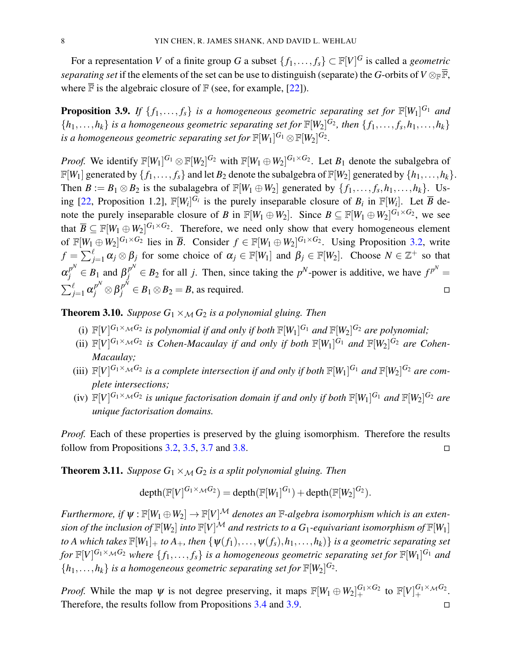For a representation *V* of a finite group *G* a subset  $\{f_1, \ldots, f_s\} \subset \mathbb{F}[V]^G$  is called a *geometric separating set* if the elements of the set can be use to distinguish (separate) the *G*-orbits of  $V \otimes_{\mathbb{F}} \overline{\mathbb{F}}$ , where  $\bar{F}$  is the algebraic closure of  $F$  (see, for example, [22]).

**Proposition 3.9.** If  $\{f_1,\ldots,f_s\}$  is a homogeneous geometric separating set for  $\mathbb{F}[W_1]^{G_1}$  and  $\{h_1, \ldots, h_k\}$  *is a homogeneous geometric separating set for*  $\mathbb{F}[W_2]^{G_2}$ , *then*  $\{f_1, \ldots, f_s, h_1, \ldots, h_k\}$  $i$ *s a homogeneous geometric separating set for*  $\mathbb{F}[W_1]^{G_1} \otimes \mathbb{F}[W_2]^{G_2}$ .

*Proof.* We identify  $\mathbb{F}[W_1]^{G_1} \otimes \mathbb{F}[W_2]^{G_2}$  with  $\mathbb{F}[W_1 \oplus W_2]^{G_1 \times G_2}$ . Let  $B_1$  denote the subalgebra of  $\mathbb{F}[W_1]$  generated by  $\{f_1,\ldots,f_s\}$  and let  $B_2$  denote the subalgebra of  $\mathbb{F}[W_2]$  generated by  $\{h_1,\ldots,h_k\}$ . Then  $B := B_1 \otimes B_2$  is the subalagebra of  $\mathbb{F}[W_1 \oplus W_2]$  generated by  $\{f_1, \ldots, f_s, h_1, \ldots, h_k\}$ . Using [22, Proposition 1.2],  $\mathbb{F}[W_i]^{G_i}$  is the purely inseparable closure of  $B_i$  in  $\mathbb{F}[W_i]$ . Let  $\overline{B}$  denote the purely inseparable closure of *B* in  $\mathbb{F}[W_1 \oplus W_2]$ . Since  $B \subseteq \mathbb{F}[W_1 \oplus W_2]^{G_1 \times G_2}$ , we see that  $\overline{B} \subseteq \mathbb{F}[W_1 \oplus W_2]^{G_1 \times G_2}$ . Therefore, we need only show that every homogeneous element of  $\mathbb{F}[W_1 \oplus W_2]^{G_1 \times G_2}$  lies in  $\overline{B}$ . Consider  $f \in \mathbb{F}[W_1 \oplus W_2]^{G_1 \times G_2}$ . Using Proposition 3.2, write  $f = \sum_{j=1}^{\ell} \alpha_j \otimes \beta_j$  for some choice of  $\alpha_j \in \mathbb{F}[W_1]$  and  $\beta_j \in \mathbb{F}[W_2]$ . Choose  $N \in \mathbb{Z}^+$  so that  $\alpha_j^{p^N} \in B_1$  and  $\beta_j^{p^N} \in B_2$  for all *j*. Then, since taking the *p*<sup>N</sup>-power is additive, we have  $f^{p^N} =$  $\sum_{j=1}^{\ell} \alpha_j^{p^N} \otimes \beta_j^{p^N} \in B_1 \otimes B_2 = B$ , as required.

**Theorem 3.10.** *Suppose*  $G_1 \times_M G_2$  *is a polynomial gluing. Then* 

- (i)  $\mathbb{F}[V]^{G_1 \times_M G_2}$  is polynomial if and only if both  $\mathbb{F}[W_1]^{G_1}$  and  $\mathbb{F}[W_2]^{G_2}$  are polynomial;
- (ii)  $\mathbb{F}[V]^{G_1 \times_M G_2}$  is Cohen-Macaulay if and only if both  $\mathbb{F}[W_1]^{G_1}$  and  $\mathbb{F}[W_2]^{G_2}$  are Cohen-*Macaulay;*
- (iii)  $\mathbb{F}[V]^{G_1 \times_M G_2}$  is a complete intersection if and only if both  $\mathbb{F}[W_1]^{G_1}$  and  $\mathbb{F}[W_2]^{G_2}$  are com*plete intersections;*
- (iv)  $\mathbb{F}[V]^{G_1 \times_M G_2}$  is unique factorisation domain if and only if both  $\mathbb{F}[W_1]^{G_1}$  and  $\mathbb{F}[W_2]^{G_2}$  are *unique factorisation domains.*

*Proof.* Each of these properties is preserved by the gluing isomorphism. Therefore the results follow from Propositions 3.2, 3.5, 3.7 and 3.8.

**Theorem 3.11.** *Suppose*  $G_1 \times_M G_2$  *is a split polynomial gluing. Then* 

$$
\operatorname{depth}(\mathbb{F}[V]^{G_1\times_{\mathcal{M}}G_2})=\operatorname{depth}(\mathbb{F}[W_1]^{G_1})+\operatorname{depth}(\mathbb{F}[W_2]^{G_2}).
$$

*Furthermore, if*  $\psi$ :  $\mathbb{F}[W_1 \oplus W_2] \to \mathbb{F}[V]^{\mathcal{M}}$  *denotes an*  $\mathbb{F}$ -algebra isomorphism which is an exten*sion of the inclusion of*  $\mathbb{F}[W_2]$  *into*  $\mathbb{F}[V]^{\mathcal{M}}$  *and restricts to a G*<sub>1</sub>-equivariant isomorphism of  $\mathbb{F}[W_1]$ *to A which takes*  $\mathbb{F}[W_1]_+$  *to A<sub>+</sub>, then*  $\{\psi(f_1), \ldots, \psi(f_s), h_1, \ldots, h_k\}$  *is a geometric separating set for*  $\mathbb{F}[V]^{G_1 \times_M G_2}$  where  $\{f_1,\ldots,f_s\}$  is a homogeneous geometric separating set for  $\mathbb{F}[W_1]^{G_1}$  and  ${h_1, \ldots, h_k}$  *is a homogeneous geometric separating set for*  $\mathbb{F}[W_2]^{G_2}$ .

*Proof.* While the map  $\psi$  is not degree preserving, it maps  $\mathbb{F}[W_1 \oplus W_2]_+^{G_1 \times G_2}$  to  $\mathbb{F}[V]_+^{G_1 \times_M G_2}$ . Therefore, the results follow from Propositions  $3.4$  and  $3.9$ .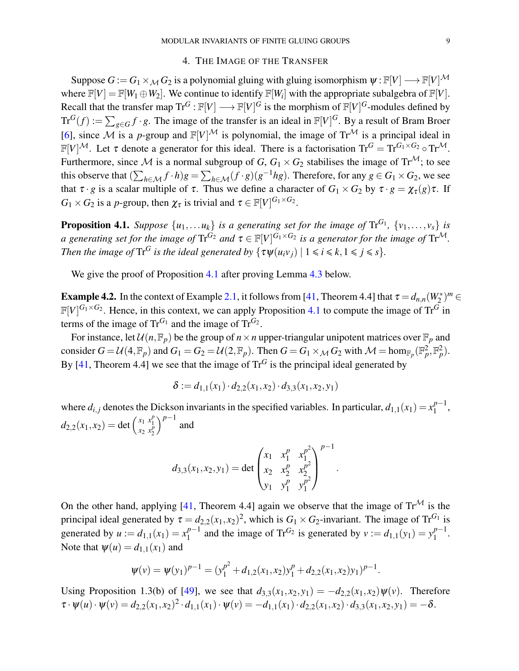#### 4. THE IMAGE OF THE TRANSFER

Suppose  $G := G_1 \times_M G_2$  is a polynomial gluing with gluing isomorphism  $\psi : \mathbb{F}[V] \longrightarrow \mathbb{F}[V]^{\mathcal{M}}$ where  $\mathbb{F}[V] = \mathbb{F}[W_1 \oplus W_2]$ . We continue to identify  $\mathbb{F}[W_i]$  with the appropriate subalgebra of  $\mathbb{F}[V]$ . Recall that the transfer map  $\text{Tr}^G : \mathbb{F}[V] \longrightarrow \mathbb{F}[V]^G$  is the morphism of  $\mathbb{F}[V]^G$ -modules defined by  $\text{Tr}^G(f) := \sum_{g \in G} f \cdot g$ . The image of the transfer is an ideal in  $\mathbb{F}[V]^G$ . By a result of Bram Broer [6], since M is a *p*-group and  $\mathbb{F}[V]^{\mathcal{M}}$  is polynomial, the image of  $\text{Tr}^{\mathcal{M}}$  is a principal ideal in  $\mathbb{F}[V]^{\mathcal{M}}$ . Let  $\tau$  denote a generator for this ideal. There is a factorisation  $\text{Tr}^G = \text{Tr}^{G_1 \times G_2} \circ \text{Tr}^{\mathcal{M}}$ . Furthermore, since M is a normal subgroup of  $G$ ,  $G_1 \times G_2$  stabilises the image of  $Tr^{\mathcal{M}}$ ; to see this observe that  $(\sum_{h \in \mathcal{M}} f \cdot h)g = \sum_{h \in \mathcal{M}} (f \cdot g)(g^{-1}hg)$ . Therefore, for any  $g \in G_1 \times G_2$ , we see that  $\tau \cdot g$  is a scalar multiple of  $\tau$ . Thus we define a character of  $G_1 \times G_2$  by  $\tau \cdot g = \chi_{\tau}(g) \tau$ . If  $G_1 \times G_2$  is a *p*-group, then  $\chi_{\tau}$  is trivial and  $\tau \in \mathbb{F}[V]^{G_1 \times G_2}$ .

**Proposition 4.1.** Suppose  $\{u_1, \ldots u_k\}$  is a generating set for the image of  $\text{Tr}^{G_1}$ ,  $\{v_1, \ldots, v_s\}$  is *a* generating set for the image of  $\text{Tr}^{G_2}$  and  $\tau \in \mathbb{F}[V]^{G_1 \times G_2}$  is a generator for the image of  $\text{Tr}^{\mathcal{M}}$ . *Then the image of*  $\text{Tr}^G$  *is the ideal generated by*  $\{\tau \psi(u_i v_j) | 1 \leq i \leq k, 1 \leq j \leq s\}.$ 

We give the proof of Proposition 4.1 after proving Lemma 4.3 below.

**Example 4.2.** In the context of Example 2.1, it follows from [41, Theorem 4.4] that  $\tau = d_{n,n}(W_2^*)^m$  $\mathbb{F}[V]^{G_1 \times G_2}$ . Hence, in this context, we can apply Proposition 4.1 to compute the image of Tr<sup>G</sup> in terms of the image of  $\text{Tr}^{G_1}$  and the image of  $\text{Tr}^{G_2}$ .

For instance, let  $\mathcal{U}(n,\mathbb{F}_p)$  be the group of  $n \times n$  upper-triangular unipotent matrices over  $\mathbb{F}_p$  and consider  $G = \mathcal{U}(4, \mathbb{F}_p)$  and  $G_1 = G_2 = \mathcal{U}(2, \mathbb{F}_p)$ . Then  $G = G_1 \times_{\mathcal{M}} G_2$  with  $\mathcal{M} = \text{hom}_{\mathbb{F}_p}(\mathbb{F}_p^2, \mathbb{F}_p^2)$ . By [41, Theorem 4.4] we see that the image of  $\text{Tr}^G$  is the principal ideal generated by

$$
\delta := d_{1,1}(x_1) \cdot d_{2,2}(x_1,x_2) \cdot d_{3,3}(x_1,x_2,y_1)
$$

where  $d_{i,j}$  denotes the Dickson invariants in the specified variables. In particular,  $d_{1,1}(x_1) = x_1^{p-1}$  $\frac{p-1}{1}$ ,  $d_{2,2}(x_1, x_2) = \det \begin{pmatrix} x_1 & x_1^p \\ x_2 & x_2^p \end{pmatrix}$  $\int^{p-1}$  and

$$
d_{3,3}(x_1, x_2, y_1) = \det \begin{pmatrix} x_1 & x_1^p & x_1^{p^2} \\ x_2 & x_2^p & x_2^{p^2} \\ y_1 & y_1^p & y_1^{p^2} \end{pmatrix}^{p-1}
$$

.

On the other hand, applying [41, Theorem 4.4] again we observe that the image of  $\text{Tr}^{\mathcal{M}}$  is the principal ideal generated by  $\tau = d_{2,2}(x_1, x_2)^2$ , which is  $G_1 \times G_2$ -invariant. The image of  $\text{Tr}^{G_1}$  is generated by  $u := d_{1,1}(x_1) = x_1^{p-1}$  $1^{p-1}$  and the image of Tr<sup>G<sub>2</sub></sup> is generated by  $v := d_{1,1}(y_1) = y_1^{p-1}$  $\frac{p-1}{1}$ . Note that  $\psi(u) = d_{1,1}(x_1)$  and

$$
\psi(v) = \psi(y_1)^{p-1} = (y_1^{p^2} + d_{1,2}(x_1, x_2)y_1^p + d_{2,2}(x_1, x_2)y_1)^{p-1}.
$$

Using Proposition 1.3(b) of [49], we see that  $d_{3,3}(x_1, x_2, y_1) = -d_{2,2}(x_1, x_2)\psi(v)$ . Therefore  $\tau \cdot \psi(u) \cdot \psi(v) = d_{2,2}(x_1, x_2)^2 \cdot d_{1,1}(x_1) \cdot \psi(v) = -d_{1,1}(x_1) \cdot d_{2,2}(x_1, x_2) \cdot d_{3,3}(x_1, x_2, y_1) = -\delta.$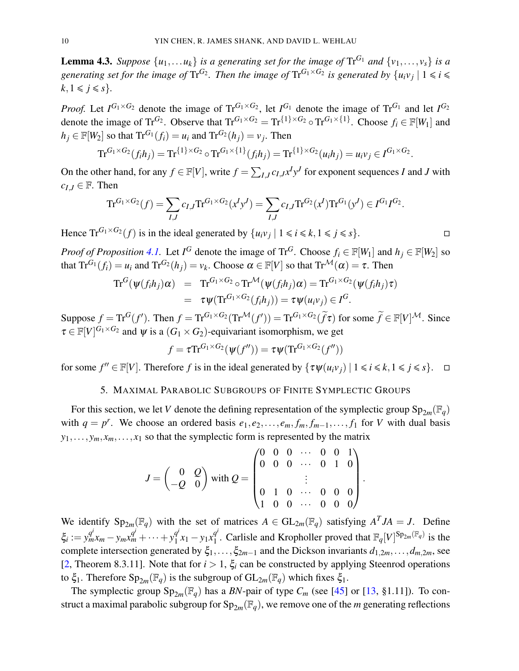**Lemma 4.3.** *Suppose*  $\{u_1, \ldots u_k\}$  *is a generating set for the image of*  $\text{Tr}^{G_1}$  *and*  $\{v_1, \ldots, v_s\}$  *is a* generating set for the image of  $\text{Tr}^{G_2}$ . Then the image of  $\text{Tr}^{G_1\times G_2}$  is generated by  $\{u_iv_j\mid 1\leqslant i\leqslant j\leqslant n\}$  $k, 1 \leq j \leq s$ .

*Proof.* Let  $I^{G_1 \times G_2}$  denote the image of  $Tr^{G_1 \times G_2}$ , let  $I^{G_1}$  denote the image of  $Tr^{G_1}$  and let  $I^{G_2}$ denote the image of Tr<sup>G</sup>2. Observe that  $Tr^{G_1 \times G_2} = Tr^{\{1\} \times G_2} \circ Tr^{G_1 \times \{1\}}$ . Choose  $f_i \in \mathbb{F}[W_1]$  and  $h_j \in \mathbb{F}[W_2]$  so that  $\text{Tr}^{G_1}(f_i) = u_i$  and  $\text{Tr}^{G_2}(h_j) = v_j$ . Then

$$
\mathrm{Tr}^{G_1 \times G_2}(f_i h_j) = \mathrm{Tr}^{\{1\} \times G_2} \circ \mathrm{Tr}^{G_1 \times \{1\}}(f_i h_j) = \mathrm{Tr}^{\{1\} \times G_2}(u_i h_j) = u_i v_j \in I^{G_1 \times G_2}.
$$

On the other hand, for any  $f \in \mathbb{F}[V]$ , write  $f = \sum_{I,J} c_{I,J} x^I y^J$  for exponent sequences *I* and *J* with  $c_I$ *J* ∈ F. Then

$$
\mathrm{Tr}^{G_1 \times G_2}(f) = \sum_{I,J} c_{I,J} \mathrm{Tr}^{G_1 \times G_2}(x^I y^J) = \sum_{I,J} c_{I,J} \mathrm{Tr}^{G_2}(x^I) \mathrm{Tr}^{G_1}(y^J) \in I^{G_1} I^{G_2}.
$$

Hence  $\text{Tr}^{G_1 \times G_2}(f)$  is in the ideal generated by  $\{u_i v_j \mid 1 \le i \le k, 1 \le j \le s\}.$ 

*Proof of Proposition* 4.1. Let  $I^G$  denote the image of Tr<sup>G</sup>. Choose  $f_i \in \mathbb{F}[W_1]$  and  $h_j \in \mathbb{F}[W_2]$  so that  $\text{Tr}^{G_1}(f_i) = u_i$  and  $\text{Tr}^{G_2}(h_j) = v_k$ . Choose  $\alpha \in \mathbb{F}[V]$  so that  $\text{Tr}^{\mathcal{M}}(\alpha) = \tau$ . Then

$$
\mathrm{Tr}^G(\psi(f_ih_j)\alpha) = \mathrm{Tr}^{G_1 \times G_2} \circ \mathrm{Tr}^{\mathcal{M}}(\psi(f_ih_j)\alpha) = \mathrm{Tr}^{G_1 \times G_2}(\psi(f_ih_j)\tau)
$$
  
=  $\tau \psi(\mathrm{Tr}^{G_1 \times G_2}(f_ih_j)) = \tau \psi(u_iv_j) \in I^G.$ 

Suppose  $f = \text{Tr}^G(f')$ . Then  $f = \text{Tr}^{G_1 \times G_2}(\text{Tr}^{\mathcal{M}}(f')) = \text{Tr}^{G_1 \times G_2}(\tilde{f}\tau)$  for some  $\tilde{f} \in \mathbb{F}[V]^{\mathcal{M}}$ . Since  $\tau \in \mathbb{F}[V]^{G_1 \times G_2}$  and  $\psi$  is a  $(G_1 \times G_2)$ -equivariant isomorphism, we get

$$
f = \tau \text{Tr}^{G_1 \times G_2}(\psi(f'')) = \tau \psi(\text{Tr}^{G_1 \times G_2}(f''))
$$

for some  $f'' \in \mathbb{F}[V]$ . Therefore *f* is in the ideal generated by  $\{\tau \psi(u_i v_j) \mid 1 \le i \le k, 1 \le j \le s\}$ .  $\Box$ 

#### 5. MAXIMAL PARABOLIC SUBGROUPS OF FINITE SYMPLECTIC GROUPS

For this section, we let *V* denote the defining representation of the symplectic group  $Sp_{2m}(\mathbb{F}_q)$ with  $q = p^r$ . We choose an ordered basis  $e_1, e_2, \ldots, e_m, f_m, f_{m-1}, \ldots, f_1$  for *V* with dual basis  $y_1, \ldots, y_m, x_m, \ldots, x_1$  so that the symplectic form is represented by the matrix

$$
J = \begin{pmatrix} 0 & Q \\ -Q & 0 \end{pmatrix} \text{ with } Q = \begin{pmatrix} 0 & 0 & 0 & \cdots & 0 & 0 & 1 \\ 0 & 0 & 0 & \cdots & 0 & 1 & 0 \\ & & \vdots & & & \\ 0 & 1 & 0 & \cdots & 0 & 0 & 0 \\ 1 & 0 & 0 & \cdots & 0 & 0 & 0 \end{pmatrix}.
$$

We identify  $Sp_{2m}(\mathbb{F}_q)$  with the set of matrices  $A \in GL_{2m}(\mathbb{F}_q)$  satisfying  $A^TJA = J$ . Define  $\xi_i := y_m^{q^i} x_m - y_m x_m^{q^i} + \cdots + y_1^{q^i}$  $q_1^i x_1 - y_1 x_1^{q^i}$  $1$ <sup>d</sup>. Carlisle and Kropholler proved that  $\mathbb{F}_q[V]^{Sp_{2m}(\mathbb{F}_q)}$  is the complete intersection generated by  $\xi_1,\ldots,\xi_{2m-1}$  and the Dickson invariants  $d_{1,2m},\ldots,d_{m,2m}$ , see [2, Theorem 8.3.11]. Note that for  $i > 1$ ,  $\xi_i$  can be constructed by applying Steenrod operations to  $\xi_1$ . Therefore  $Sp_{2m}(\mathbb{F}_q)$  is the subgroup of  $GL_{2m}(\mathbb{F}_q)$  which fixes  $\xi_1$ .

The symplectic group  $Sp_{2m}(\mathbb{F}_q)$  has a *BN*-pair of type  $C_m$  (see [45] or [13, §1.11]). To construct a maximal parabolic subgroup for  $Sp_{2m}(\mathbb{F}_q)$ , we remove one of the *m* generating reflections

$$
\Box
$$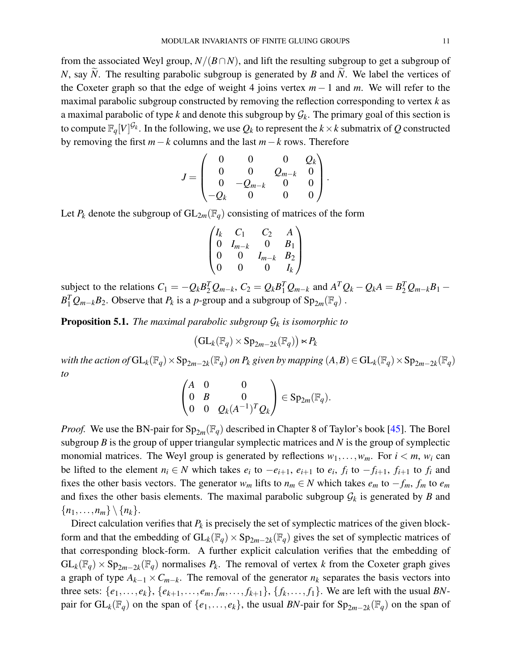from the associated Weyl group,  $N/(B \cap N)$ , and lift the resulting subgroup to get a subgroup of *N*, say *N*. The resulting parabolic subgroup is generated by *B* and *N*. We label the vertices of the Coxeter graph so that the edge of weight 4 joins vertex *m* − 1 and *m*. We will refer to the maximal parabolic subgroup constructed by removing the reflection corresponding to vertex *k* as a maximal parabolic of type  $k$  and denote this subgroup by  $\mathcal{G}_k$ . The primary goal of this section is to compute  $\mathbb{F}_q[V]^{\mathcal{G}_k}.$  In the following, we use  $\mathcal{Q}_k$  to represent the  $k\times k$  submatrix of  $\mathcal Q$  constructed by removing the first *m*−*k* columns and the last *m*−*k* rows. Therefore

$$
J=\begin{pmatrix}0&0&0&Q_k\\0&0&Q_{m-k}&0\\0&-Q_{m-k}&0&0\\-Q_k&0&0&0\end{pmatrix}.
$$

Let  $P_k$  denote the subgroup of  $GL_{2m}(\mathbb{F}_q)$  consisting of matrices of the form

$$
\begin{pmatrix} I_k & C_1 & C_2 & A \\ 0 & I_{m-k} & 0 & B_1 \\ 0 & 0 & I_{m-k} & B_2 \\ 0 & 0 & 0 & I_k \end{pmatrix}
$$

subject to the relations  $C_1 = -Q_k B_2^T Q_{m-k}$ ,  $C_2 = Q_k B_1^T Q_{m-k}$  and  $A^T Q_k - Q_k A = B_2^T Q_{m-k} B_1 B_1^T Q_{m-k} B_2$ . Observe that  $P_k$  is a *p*-group and a subgroup of  $Sp_{2m}(\mathbb{F}_q)$ .

Proposition 5.1. *The maximal parabolic subgroup* G*<sup>k</sup> is isomorphic to*

$$
\big(\mathrm{GL}_k(\mathbb{F}_q)\times\mathrm{Sp}_{2m-2k}(\mathbb{F}_q)\big)\ltimes P_k
$$

 $\mathcal{B}$  *with the action of*  $\mathrm{GL}_k(\mathbb{F}_q) \times \mathrm{Sp}_{2m-2k}(\mathbb{F}_q)$  *on*  $P_k$  *given by mapping*  $(A, B) \in \mathrm{GL}_k(\mathbb{F}_q) \times \mathrm{Sp}_{2m-2k}(\mathbb{F}_q)$ *to*

$$
\begin{pmatrix} A & 0 & 0 \\ 0 & B & 0 \\ 0 & 0 & Q_k (A^{-1})^T Q_k \end{pmatrix} \in \mathrm{Sp}_{2m}(\mathbb{F}_q).
$$

*Proof.* We use the BN-pair for  $Sp_{2m}(\mathbb{F}_q)$  described in Chapter 8 of Taylor's book [45]. The Borel subgroup *B* is the group of upper triangular symplectic matrices and *N* is the group of symplectic monomial matrices. The Weyl group is generated by reflections  $w_1, \ldots, w_m$ . For  $i < m$ ,  $w_i$  can be lifted to the element  $n_i \in N$  which takes  $e_i$  to  $-e_{i+1}$ ,  $e_{i+1}$  to  $e_i$ ,  $f_i$  to  $-f_{i+1}$ ,  $f_{i+1}$  to  $f_i$  and fixes the other basis vectors. The generator  $w_m$  lifts to  $n_m \in N$  which takes  $e_m$  to  $-f_m$ ,  $f_m$  to  $e_m$ and fixes the other basis elements. The maximal parabolic subgroup  $G_k$  is generated by *B* and  ${n_1,\ldots,n_m} \setminus {n_k}.$ 

Direct calculation verifies that  $P_k$  is precisely the set of symplectic matrices of the given blockform and that the embedding of  $GL_k(\mathbb{F}_q) \times Sp_{2m-2k}(\mathbb{F}_q)$  gives the set of symplectic matrices of that corresponding block-form. A further explicit calculation verifies that the embedding of  $GL_k(\mathbb{F}_q) \times Sp_{2m-2k}(\mathbb{F}_q)$  normalises  $P_k$ . The removal of vertex *k* from the Coxeter graph gives a graph of type  $A_{k-1} \times C_{m-k}$ . The removal of the generator  $n_k$  separates the basis vectors into three sets:  $\{e_1, \ldots, e_k\}$ ,  $\{e_{k+1}, \ldots, e_m, f_m, \ldots, f_{k+1}\}$ ,  $\{f_k, \ldots, f_1\}$ . We are left with the usual *BN*pair for  $GL_k(\mathbb{F}_q)$  on the span of  $\{e_1,\ldots,e_k\}$ , the usual *BN*-pair for  $Sp_{2m-2k}(\mathbb{F}_q)$  on the span of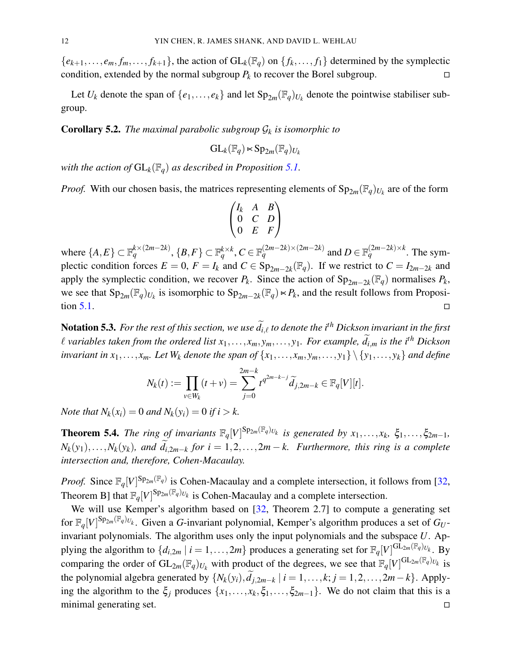${e_{k+1}, \ldots, e_m, f_m, \ldots, f_{k+1}}$ , the action of  $GL_k(\mathbb{F}_q)$  on  ${f_k, \ldots, f_1}$  determined by the symplectic condition, extended by the normal subgroup  $P_k$  to recover the Borel subgroup.

Let  $U_k$  denote the span of  $\{e_1, \ldots, e_k\}$  and let  $Sp_{2m}(\mathbb{F}_q)_{U_k}$  denote the pointwise stabiliser subgroup.

Corollary 5.2. *The maximal parabolic subgroup* G*<sup>k</sup> is isomorphic to*

$$
\mathrm{GL}_k(\mathbb{F}_q) \ltimes \mathrm{Sp}_{2m}(\mathbb{F}_q)_{U_k}
$$

*with the action of*  $GL_k(\mathbb{F}_q)$  *as described in Proposition 5.1.* 

*Proof.* With our chosen basis, the matrices representing elements of  $Sp_{2m}(\mathbb{F}_q)_{U_k}$  are of the form

$$
\begin{pmatrix} I_k & A & B \\ 0 & C & D \\ 0 & E & F \end{pmatrix}
$$

where  $\{A, E\} \subset \mathbb{F}_q^{k \times (2m-2k)}$ ,  $\{B, F\} \subset \mathbb{F}_q^{k \times k}$ ,  $C \in \mathbb{F}_q^{(2m-2k) \times (2m-2k)}$  and  $D \in \mathbb{F}_q^{(2m-2k) \times k}$ . The symplectic condition forces  $E = 0$ ,  $F = I_k$  and  $C \in \text{Sp}_{2m-2k}(\mathbb{F}_q)$ . If we restrict to  $C = I_{2m-2k}$  and apply the symplectic condition, we recover  $P_k$ . Since the action of  $Sp_{2m-2k}(\mathbb{F}_q)$  normalises  $P_k$ , we see that  $Sp_{2m}(\mathbb{F}_q)_{U_k}$  is isomorphic to  $Sp_{2m-2k}(\mathbb{F}_q) \lt P_k$ , and the result follows from Proposition 5.1.  $\Box$ 

Notation 5.3. *For the rest of this section, we use*  $\widetilde{d}_{i,\ell}$  *to denote the i<sup>th</sup> Dickson invariant in the first l* variables taken from the ordered list  $x_1, \ldots, x_m, y_m, \ldots, y_1$ . For example,  $\tilde{d}_{i,m}$  is the i<sup>th</sup> Dickson *invariant in*  $x_1, \ldots, x_m$ *. Let*  $W_k$  *denote the span of*  $\{x_1, \ldots, x_m, y_m, \ldots, y_1\} \setminus \{y_1, \ldots, y_k\}$  *and define* 

$$
N_k(t) := \prod_{v \in W_k} (t + v) = \sum_{j=0}^{2m-k} t^{q^{2m-k-j}} \widetilde{d}_{j,2m-k} \in \mathbb{F}_q[V][t].
$$

*Note that*  $N_k(x_i) = 0$  *and*  $N_k(y_i) = 0$  *if i* > *k*.

**Theorem 5.4.** The ring of invariants  $\mathbb{F}_q[V]^{Sp_{2m}(\mathbb{F}_q)_{U_k}}$  is generated by  $x_1, \ldots, x_k$ ,  $\xi_1, \ldots, \xi_{2m-1}$ ,  $N_k(y_1), \ldots, N_k(y_k)$ , and  $d_{i,2m-k}$  for  $i = 1, 2, \ldots, 2m-k$ . Furthermore, this ring is a complete *intersection and, therefore, Cohen-Macaulay.*

*Proof.* Since  $\mathbb{F}_q[V]^{Sp_{2m}(\mathbb{F}_q)}$  is Cohen-Macaulay and a complete intersection, it follows from [32, Theorem B] that  $\mathbb{F}_q[V]^{Sp_{2m}(\mathbb{F}_q)_{U_k}}$  is Cohen-Macaulay and a complete intersection.

We will use Kemper's algorithm based on [32, Theorem 2.7] to compute a generating set for  $\mathbb{F}_q[V]^{Sp_{2m}(\mathbb{F}_q)U_k}$ . Given a *G*-invariant polynomial, Kemper's algorithm produces a set of  $G_U$ invariant polynomials. The algorithm uses only the input polynomials and the subspace *U*. Applying the algorithm to  $\{d_{i,2m} \mid i = 1,\ldots,2m\}$  produces a generating set for  $\mathbb{F}_q[V]^{GL_{2m}(\mathbb{F}_q)U_k}$ . By comparing the order of  $GL_{2m}(\mathbb{F}_q)_{U_k}$  with product of the degrees, we see that  $\mathbb{F}_q[V]^{GL_{2m}(\mathbb{F}_q)_{U_k}}$  is the polynomial algebra generated by  $\{N_k(y_i), d_{j,2m-k} \mid i = 1, \ldots, k; j = 1, 2, \ldots, 2m-k\}$ . Applying the algorithm to the  $\xi_j$  produces  $\{x_1, \ldots, x_k, \xi_1, \ldots, \xi_{2m-1}\}$ . We do not claim that this is a minimal generating set.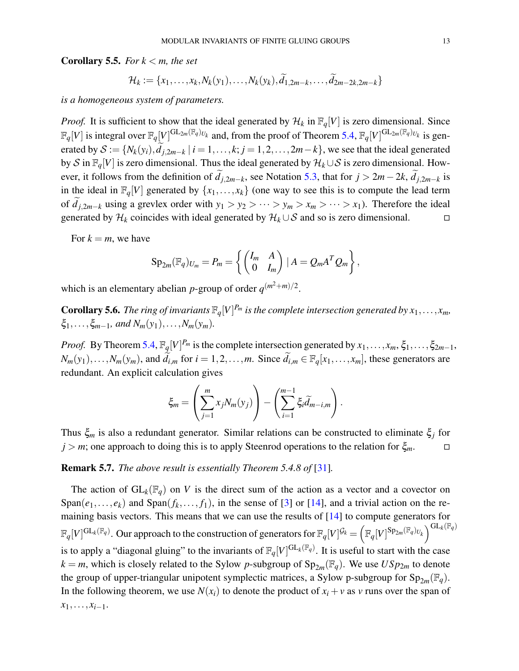**Corollary 5.5.** *For*  $k < m$ *, the set* 

$$
\mathcal{H}_k := \{x_1,\ldots,x_k,N_k(y_1),\ldots,N_k(y_k),\widetilde{d}_{1,2m-k},\ldots,\widetilde{d}_{2m-2k,2m-k}\}
$$

*is a homogeneous system of parameters.*

*Proof.* It is sufficient to show that the ideal generated by  $\mathcal{H}_k$  in  $\mathbb{F}_q[V]$  is zero dimensional. Since  $\mathbb{F}_q[V]$  is integral over  $\mathbb{F}_q[V]^{GL_{2m}(\mathbb{F}_q)_{U_k}}$  and, from the proof of Theorem 5.4,  $\mathbb{F}_q[V]^{GL_{2m}(\mathbb{F}_q)_{U_k}}$  is generated by  $S := \{N_k(y_i), d_{j,2m-k} \mid i = 1, ..., k; j = 1, 2, ..., 2m-k\}$ , we see that the ideal generated by S in  $\mathbb{F}_q[V]$  is zero dimensional. Thus the ideal generated by  $\mathcal{H}_k \cup \mathcal{S}$  is zero dimensional. However, it follows from the definition of  $d_{j,2m-k}$ , see Notation 5.3, that for  $j > 2m-2k$ ,  $d_{j,2m-k}$  is in the ideal in  $\mathbb{F}_q[V]$  generated by  $\{x_1, \ldots, x_k\}$  (one way to see this is to compute the lead term of  $d_{j,2m-k}$  using a grevlex order with  $y_1 > y_2 > \cdots > y_m > x_m > \cdots > x_1$ ). Therefore the ideal generated by  $\mathcal{H}_k$  coincides with ideal generated by  $\mathcal{H}_k \cup \mathcal{S}$  and so is zero dimensional.

For  $k = m$ , we have

$$
Sp_{2m}(\mathbb{F}_q)_{U_m}=P_m=\left\{\begin{pmatrix}I_m&A\\0&I_m\end{pmatrix}|A=Q_mA^TQ_m\right\},\,
$$

which is an elementary abelian *p*-group of order  $q^{(m^2+m)/2}$ .

**Corollary 5.6.** The ring of invariants  $\mathbb{F}_q[V]^{P_m}$  is the complete intersection generated by  $x_1, \ldots, x_m$ ,  $\xi_1, \ldots, \xi_{m-1}$ *, and*  $N_m(y_1), \ldots, N_m(y_m)$ .

*Proof.* By Theorem 5.4,  $\mathbb{F}_q[V]^{P_m}$  is the complete intersection generated by  $x_1, \ldots, x_m, \xi_1, \ldots, \xi_{2m-1}$ ,  $N_m(y_1), \ldots, N_m(y_m)$ , and  $\tilde{d}_{i,m}$  for  $i = 1, 2, \ldots, m$ . Since  $\tilde{d}_{i,m} \in \mathbb{F}_q[x_1, \ldots, x_m]$ , these generators are redundant. An explicit calculation gives

$$
\xi_m = \left(\sum_{j=1}^m x_j N_m(y_j)\right) - \left(\sum_{i=1}^{m-1} \xi_i \widetilde{d}_{m-i,m}\right).
$$

Thus ξ*<sup>m</sup>* is also a redundant generator. Similar relations can be constructed to eliminate ξ*<sup>j</sup>* for  $j > m$ ; one approach to doing this is to apply Steenrod operations to the relation for  $\xi_m$ .

Remark 5.7. *The above result is essentially Theorem 5.4.8 of* [31]*.*

The action of  $GL_k(\mathbb{F}_q)$  on *V* is the direct sum of the action as a vector and a covector on  $Span(e_1, \ldots, e_k)$  and  $Span(f_k, \ldots, f_1)$ , in the sense of [3] or [14], and a trivial action on the remaining basis vectors. This means that we can use the results of [14] to compute generators for  $\mathbb{F}_q[V]^{\mathrm{GL}_k(\mathbb{F}_q)}$ . Our approach to the construction of generators for  $\mathbb{F}_q[V]^{\mathcal{G}_k} = (\mathbb{F}_q[V]^{\mathrm{Sp}_{2m}(\mathbb{F}_q)_{U_k}})^{\mathrm{GL}_k(\mathbb{F}_q)}$ is to apply a "diagonal gluing" to the invariants of  $\mathbb{F}_q[V]^{GL_k(\mathbb{F}_q)}$ . It is useful to start with the case  $k = m$ , which is closely related to the Sylow *p*-subgroup of  $Sp_{2m}(\mathbb{F}_q)$ . We use  $USp_{2m}$  to denote the group of upper-triangular unipotent symplectic matrices, a Sylow p-subgroup for  $Sp_{2m}(\mathbb{F}_q)$ . In the following theorem, we use  $N(x_i)$  to denote the product of  $x_i + v$  as *v* runs over the span of  $x_1, \ldots, x_{i-1}$ .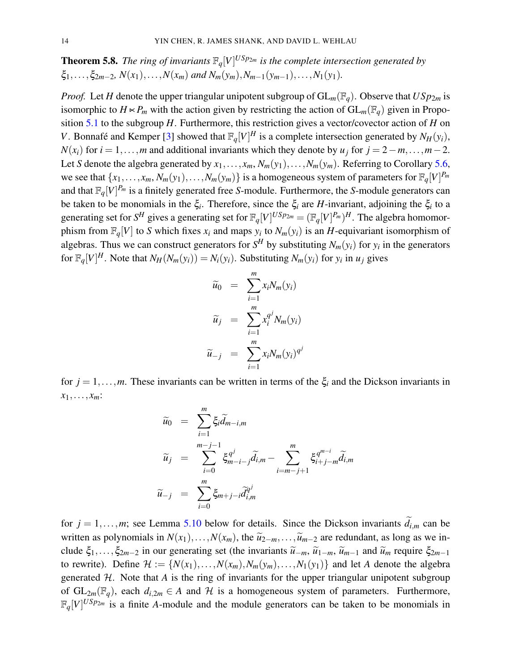**Theorem 5.8.** The ring of invariants  $\mathbb{F}_q[V]^{USp_{2m}}$  is the complete intersection generated by  $\xi_1,\ldots,\xi_{2m-2}, N(x_1),\ldots,N(x_m)$  and  $N_m(y_m),N_{m-1}(y_{m-1}),\ldots,N_1(y_1)$ .

*Proof.* Let *H* denote the upper triangular unipotent subgroup of  $GL_m(\mathbb{F}_q)$ . Observe that  $USp_{2m}$  is isomorphic to  $H \times P_m$  with the action given by restricting the action of  $GL_m(\mathbb{F}_q)$  given in Proposition 5.1 to the subgroup *H*. Furthermore, this restriction gives a vector/covector action of *H* on *V*. Bonnafé and Kemper [3] showed that  $\mathbb{F}_q[V]^H$  is a complete intersection generated by  $N_H(y_i)$ , *N*( $x_i$ ) for *i* = 1,...,*m* and additional invariants which they denote by  $u_j$  for  $j = 2 - m, \ldots, m - 2$ . Let *S* denote the algebra generated by  $x_1, \ldots, x_m, N_m(y_1), \ldots, N_m(y_m)$ . Referring to Corollary 5.6, we see that  $\{x_1, \ldots, x_m, N_m(y_1), \ldots, N_m(y_m)\}$  is a homogeneous system of parameters for  $\mathbb{F}_q[V]^{P_m}$ and that F*q*[*V*] *<sup>P</sup><sup>m</sup>* is a finitely generated free *S*-module. Furthermore, the *S*-module generators can be taken to be monomials in the  $\xi_i$ . Therefore, since the  $\xi_i$  are *H*-invariant, adjoining the  $\xi_i$  to a generating set for  $S^H$  gives a generating set for  $\mathbb{F}_q[V]^{USp_{2m}} = (\mathbb{F}_q[V]^{P_m})^H$ . The algebra homomorphism from  $\mathbb{F}_q[V]$  to *S* which fixes  $x_i$  and maps  $y_i$  to  $N_m(y_i)$  is an *H*-equivariant isomorphism of algebras. Thus we can construct generators for  $S^H$  by substituting  $N_m(y_i)$  for  $y_i$  in the generators for  $\mathbb{F}_q[V]^H$ . Note that  $N_H(N_m(y_i)) = N_i(y_i)$ . Substituting  $N_m(y_i)$  for  $y_i$  in  $u_j$  gives

$$
\widetilde{u}_0 = \sum_{i=1}^m x_i N_m(y_i)
$$
  

$$
\widetilde{u}_j = \sum_{i=1}^m x_i^{q^j} N_m(y_i)
$$
  

$$
\widetilde{u}_{-j} = \sum_{i=1}^m x_i N_m(y_i)^{q^j}
$$

for  $j = 1, \ldots, m$ . These invariants can be written in terms of the  $\xi_i$  and the Dickson invariants in  $x_1, \ldots, x_m$ :

$$
\widetilde{u}_0 = \sum_{i=1}^m \xi_i \widetilde{d}_{m-i,m}
$$
\n
$$
\widetilde{u}_j = \sum_{i=0}^{m-j-1} \xi_{m-i-j}^{q^j} \widetilde{d}_{i,m} - \sum_{i=m-j+1}^m \xi_{i+j-m}^{q^{m-i}} \widetilde{d}_{i,m}
$$
\n
$$
\widetilde{u}_{-j} = \sum_{i=0}^m \xi_{m+j-i} \widetilde{d}_{i,m}^{q^j}
$$

for  $j = 1, \ldots, m$ ; see Lemma 5.10 below for details. Since the Dickson invariants  $\tilde{d}_{i,m}$  can be written as polynomials in  $N(x_1),...,N(x_m)$ , the  $\tilde{u}_2$ <sub>−*m*</sub>,..., $\tilde{u}_{m-2}$  are redundant, as long as we include  $\xi_1,\ldots,\xi_{2m-2}$  in our generating set (the invariants  $\widetilde{u}_{-m}, \widetilde{u}_{1-m}, \widetilde{u}_{m-1}$  and  $\widetilde{u}_m$  require  $\xi_{2m-1}$ to rewrite). Define  $\mathcal{H} := \{N(x_1), \ldots, N(x_m), N_m(y_m), \ldots, N_1(y_1)\}\$  and let *A* denote the algebra generated  $H$ . Note that  $A$  is the ring of invariants for the upper triangular unipotent subgroup of  $GL_{2m}(\mathbb{F}_q)$ , each  $d_{i,2m} \in A$  and  $H$  is a homogeneous system of parameters. Furthermore,  $\mathbb{F}_q[V]^{USp_{2m}}$  is a finite *A*-module and the module generators can be taken to be monomials in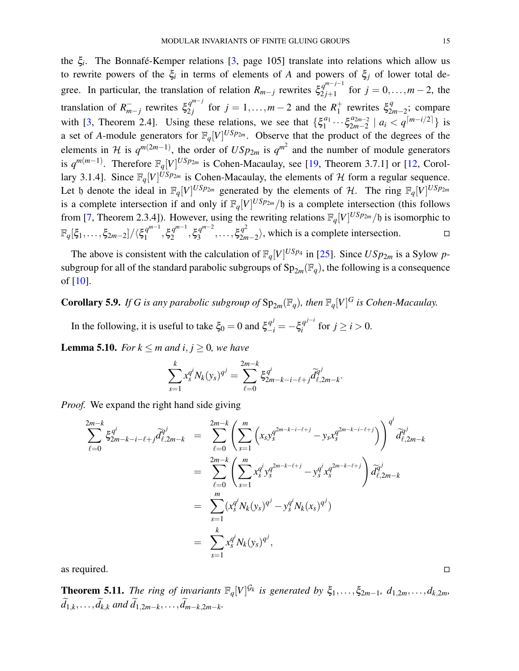the ξ*<sup>i</sup>* . The Bonnafé-Kemper relations [3, page 105] translate into relations which allow us to rewrite powers of the ξ*<sup>i</sup>* in terms of elements of *A* and powers of ξ*<sup>j</sup>* of lower total degree. In particular, the translation of relation  $R_{m-j}$  rewrites  $\xi_{2j+1}^{q^{m-j-1}}$  $y_{2j+1}^{q^{m-j}}$  for  $j = 0, ..., m-2$ , the translation of  $R_m^ \bar{f}_{m-j}$  rewrites  $\xi_{2j}^{q^{m-j}}$  $q_1^{m-j}$  for  $j = 1, ..., m-2$  and the  $R_1^+$  $\frac{1}{1}$  rewrites  $\xi_{2i}^q$  $2m-2$ ; compare with [3, Theorem 2.4]. Using these relations, we see that  $\{\xi_1^{a_1}$  $a_1^{a_1} \cdots \xi_{2m-2}^{a_{2m-2}}$  $\binom{a_{2m-2}}{2m-2}$  |  $a_i < q^{\lceil m-i/2 \rceil}$ } is a set of *A*-module generators for  $\mathbb{F}_q[V]^{USp_{2m}}$ . Observe that the product of the degrees of the elements in H is  $q^{m(2m-1)}$ , the order of  $USp_{2m}$  is  $q^{m^2}$  and the number of module generators is  $q^{m(m-1)}$ . Therefore  $\mathbb{F}_q[V]^{USp_{2m}}$  is Cohen-Macaulay, see [19, Theorem 3.7.1] or [12, Corollary 3.1.4]. Since  $\mathbb{F}_q[V]^{USp_{2m}}$  is Cohen-Macaulay, the elements of H form a regular sequence. Let b denote the ideal in  $\mathbb{F}_q[V]^{USp_{2m}}$  generated by the elements of H. The ring  $\mathbb{F}_q[V]^{USp_{2m}}$ is a complete intersection if and only if  $\mathbb{F}_q[V]^{USp_{2m}}/ \mathfrak{h}$  is a complete intersection (this follows from [7, Theorem 2.3.4]). However, using the rewriting relations  $\mathbb{F}_q[V]^{USp_{2m}}/ \mathfrak{h}$  is isomorphic to  $\mathbb{F}_q[\xi_1,\ldots,\xi_{2m-2}]/\langle \xi_1^{q^{m-1}}\rangle$  $q^{m-1}$ ,  $\xi_2^{q^{m-1}}$  $q^{m-1}$ ,  $\xi_3^{q^{m-2}}$  $\zeta_3^{q^{m-2}}, \ldots, \xi_{2n}^{q^2}$  $\binom{q^2}{2m-2}$ , which is a complete intersection.  $\Box$ 

The above is consistent with the calculation of  $\mathbb{F}_q[V]^{USp_4}$  in [25]. Since  $USp_{2m}$  is a Sylow *p*subgroup for all of the standard parabolic subgroups of  $Sp_{2m}(\mathbb{F}_q)$ , the following is a consequence of [10].

### **Corollary 5.9.** If G is any parabolic subgroup of  $Sp_{2m}(\mathbb{F}_q)$ , then  $\mathbb{F}_q[V]^G$  is Cohen-Macaulay.

In the following, it is useful to take  $\xi_0 = 0$  and  $\xi_{-i}^{q^j} = -\xi_i^{q^{j-i}}$  $i$ <sup>*q*</sup> for  $j \ge i > 0$ .

**Lemma 5.10.** *For*  $k \le m$  *and*  $i, j \ge 0$ *, we have* 

$$
\sum_{s=1}^{k} x_s^{q^i} N_k(y_s)^{q^j} = \sum_{\ell=0}^{2m-k} \xi_{2m-k-i-\ell+j}^{q^i} \widetilde{d}_{\ell,2m-k}^{q^j}.
$$

*Proof.* We expand the right hand side giving

$$
\sum_{\ell=0}^{2m-k} \xi_{2m-k-i-\ell+j}^{q^i} \widetilde{d}_{\ell,2m-k}^{q^j} = \sum_{\ell=0}^{2m-k} \left( \sum_{s=1}^m \left( x_s y_s^{q^{2m-k-i-\ell+j}} - y_s x_s^{q^{2m-k-i-\ell+j}} \right) \right)^{q^i} \widetilde{d}_{\ell,2m-k}^{q^j}
$$
  
\n
$$
= \sum_{\ell=0}^{2m-k} \left( \sum_{s=1}^m x_s^{q^i} y_s^{q^{2m-k-\ell+j}} - y_s^{q^i} x_s^{q^{2m-k-\ell+j}} \right) \widetilde{d}_{\ell,2m-k}^{q^j}
$$
  
\n
$$
= \sum_{s=1}^m (x_s^{q^i} N_k(y_s)^{q^j} - y_s^{q^i} N_k(x_s)^{q^j})
$$
  
\n
$$
= \sum_{s=1}^k x_s^{q^i} N_k(y_s)^{q^j},
$$

as required.  $\Box$ 

**Theorem 5.11.** The ring of invariants  $\mathbb{F}_q[V]^{\mathcal{G}_k}$  is generated by  $\xi_1,\ldots,\xi_{2m-1}, d_{1,2m},\ldots,d_{k,2m}$  $d_{1,k}, \ldots, d_{k,k}$  and  $d_{1,2m-k}, \ldots, d_{m-k,2m-k}.$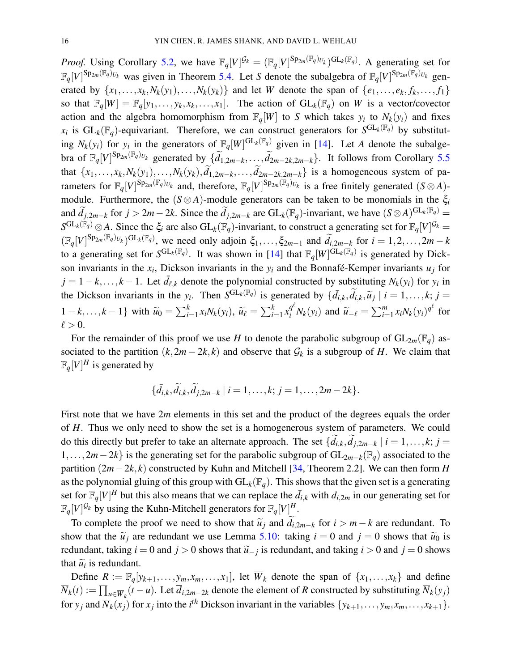*Proof.* Using Corollary 5.2, we have  $\mathbb{F}_q[V]^{\mathcal{G}_k} = (\mathbb{F}_q[V]^{\text{Sp}_{2m}(\mathbb{F}_q)_{U_k}})^{\text{GL}_k(\mathbb{F}_q)}$ . A generating set for  $\mathbb{F}_q[V]^{Sp_{2m}(\mathbb{F}_q)_{U_k}}$  was given in Theorem 5.4. Let *S* denote the subalgebra of  $\mathbb{F}_q[V]^{Sp_{2m}(\mathbb{F}_q)_{U_k}}$  generated by  $\{x_1, \ldots, x_k, N_k(y_1), \ldots, N_k(y_k)\}\$  and let *W* denote the span of  $\{e_1, \ldots, e_k, f_k, \ldots, f_1\}$ so that  $\mathbb{F}_q[W] = \mathbb{F}_q[y_1, \ldots, y_k, x_k, \ldots, x_1]$ . The action of  $GL_k(\mathbb{F}_q)$  on *W* is a vector/covector action and the algebra homomorphism from  $\mathbb{F}_q[W]$  to *S* which takes  $y_i$  to  $N_k(y_i)$  and fixes  $x_i$  is  $GL_k(\mathbb{F}_q)$ -equivariant. Therefore, we can construct generators for  $S^{GL_k(\mathbb{F}_q)}$  by substituting  $N_k(y_i)$  for  $y_i$  in the generators of  $\mathbb{F}_q[W]^{GL_k(\mathbb{F}_q)}$  given in [14]. Let *A* denote the subalgebra of  $\mathbb{F}_q[V]^{Sp_{2m}(\mathbb{F}_q)_{U_k}}$  generated by  $\{\widetilde{d}_{1,2m-k},\ldots,\widetilde{d}_{2m-2k,2m-k}\}$ . It follows from Corollary 5.5 that  $\{x_1, \ldots, x_k, N_k(y_1), \ldots, N_k(y_k), d_{1,2m-k}, \ldots, d_{2m-2k,2m-k}\}$  is a homogeneous system of parameters for  $\mathbb{F}_q[V]^{Sp_{2m}(\mathbb{F}_q)_{U_k}}$  and, therefore,  $\mathbb{F}_q[V]^{Sp_{2m}(\mathbb{F}_q)_{U_k}}$  is a free finitely generated  $(S \otimes A)$ module. Furthermore, the  $(S \otimes A)$ -module generators can be taken to be monomials in the  $\xi_i$ and  $\widetilde{d}_{j,2m-k}$  for  $j > 2m-2k$ . Since the  $\widetilde{d}_{j,2m-k}$  are  $GL_k(\mathbb{F}_q)$ -invariant, we have  $(S \otimes A)^{GL_k(\mathbb{F}_q)} =$  $S^{\text{GL}_k(\breve{\mathbb{F}}_q)} \otimes A$ . Since the  $\xi_i$  are also  $\text{GL}_k(\breve{\mathbb{F}}_q)$ -invariant, to construct a generating set for  $\mathbb{F}_q[V]^{\mathcal{G}_k} =$  $(\mathbb{F}_q[V]^{Sp_{2m}(\mathbb{F}_q)U_k})^{GL_k(\mathbb{F}_q)}$ , we need only adjoin  $\xi_1,\ldots,\xi_{2m-1}$  and  $\widetilde{d}_{i,2m-k}$  for  $i=1,2,\ldots,2m-k$ to a generating set for  $S^{GL_k(\mathbb{F}_q)}$ . It was shown in [14] that  $\mathbb{F}_q[W]^{GL_k(\mathbb{F}_q)}$  is generated by Dickson invariants in the  $x_i$ , Dickson invariants in the  $y_i$  and the Bonnafé-Kemper invariants  $u_j$  for  $j = 1 - k, \ldots, k - 1$ . Let  $\bar{d}_{\ell,k}$  denote the polynomial constructed by substituting  $N_k(y_i)$  for  $y_i$  in the Dickson invariants in the *y<sub>i</sub>*. Then  $S^{GL_k(\mathbb{F}_q)}$  is generated by  $\{\bar{d}_{i,k}, \tilde{d}_{i,k}, \tilde{u}_j \mid i = 1, ..., k; j = k\}$  $\{1-k,\ldots,k-1\}$  with  $\widetilde{u}_0 = \sum_{i=1}^k x_i N_k(y_i)$ ,  $\widetilde{u}_\ell = \sum_{i=1}^k x_i^{q^\ell} N_k(y_i)$  and  $\widetilde{u}_{-\ell} = \sum_{i=1}^m x_i N_k(y_i)^{q^\ell}$  for  $\ell > 0$ .

For the remainder of this proof we use *H* to denote the parabolic subgroup of  $GL_{2m}(\mathbb{F}_q)$  associated to the partition  $(k, 2m-2k, k)$  and observe that  $\mathcal{G}_k$  is a subgroup of *H*. We claim that  $\mathbb{F}_q[V]^H$  is generated by

$$
\{\tilde{d}_{i,k}, \tilde{d}_{i,k}, \tilde{d}_{j,2m-k} \mid i=1,\ldots,k; j=1,\ldots,2m-2k\}.
$$

First note that we have 2m elements in this set and the product of the degrees equals the order of *H*. Thus we only need to show the set is a homogenerous system of parameters. We could do this directly but prefer to take an alternate approach. The set  $\{d_{i,k}, d_{j,2m-k} \mid i = 1, ..., k; j = k\}$ 1,...,2*m*−2*k*} is the generating set for the parabolic subgroup of GL2*m*−*k*(F*q*) associated to the partition (2*m*−2*k*, *k*) constructed by Kuhn and Mitchell [34, Theorem 2.2]. We can then form *H* as the polynomial gluing of this group with  $GL_k(\mathbb{F}_q)$ . This shows that the given set is a generating set for  $\mathbb{F}_q[V]^H$  but this also means that we can replace the  $\bar{d}_{i,k}$  with  $d_{i,2m}$  in our generating set for  $\mathbb{F}_q[V]^{\mathcal{G}_k}$  by using the Kuhn-Mitchell generators for  $\mathbb{F}_q[V]^H$ .

To complete the proof we need to show that  $\tilde{u}_j$  and  $d_{i,2m-k}$  for  $i > m-k$  are redundant. To any that  $\tilde{v}_i$  are redundant we use I surve 5.10; taking *i* = 0 and *i* = 0 above that  $\tilde{v}_i$  is show that the  $\tilde{u}_j$  are redundant we use Lemma 5.10: taking  $i = 0$  and  $j = 0$  shows that  $\tilde{u}_0$  is redundant, taking *i* = 0 and *j* > 0 shows that  $\tilde{u}_{-j}$  is redundant, and taking *i* > 0 and *j* = 0 shows that  $\tilde{v}_i$  is redundant. that  $\widetilde{u}_i$  is redundant.

Define  $R := \mathbb{F}_q[y_{k+1},..., y_m, x_m,...,x_1]$ , let  $\overline{W}_k$  denote the span of  $\{x_1,..., x_k\}$  and define  $\overline{N}_k(t) := \prod_{u \in \overline{W}_k} (t - u)$ . Let  $\overline{d}_{i,2m-2k}$  denote the element of *R* constructed by substituting  $\overline{N}_k(y_j)$ for  $y_j$  and  $\overline{N}_k(x_j)$  for  $x_j$  into the *i*<sup>th</sup> Dickson invariant in the variables  $\{y_{k+1}, \ldots, y_m, x_m, \ldots, x_{k+1}\}.$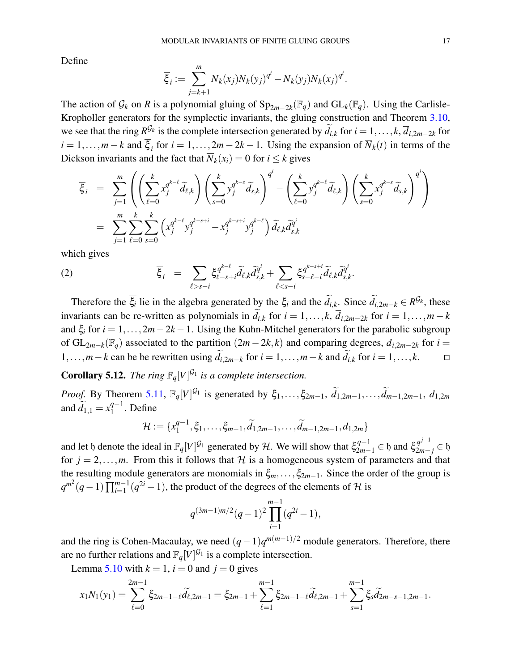Define

$$
\overline{\xi}_i := \sum_{j=k+1}^m \overline{N}_k(x_j) \overline{N}_k(y_j)^{q^i} - \overline{N}_k(y_j) \overline{N}_k(x_j)^{q^i}.
$$

The action of  $\mathcal{G}_k$  on *R* is a polynomial gluing of  $Sp_{2m-2k}(\mathbb{F}_q)$  and  $GL_k(\mathbb{F}_q)$ . Using the Carlisle-Kropholler generators for the symplectic invariants, the gluing construction and Theorem 3.10, we see that the ring  $R^{\mathcal{G}_k}$  is the complete intersection generated by  $\widetilde{d}_{i,k}$  for  $i = 1, \ldots, k$ ,  $\overline{d}_{i,2m-2k}$  for  $i = 1, \ldots, m-k$  and  $\xi_i$  for  $i = 1, \ldots, 2m-2k-1$ . Using the expansion of  $\overline{N}_k(t)$  in terms of the Dickson invariants and the fact that  $\overline{N}_k(x_i) = 0$  for  $i \leq k$  gives

$$
\overline{\xi}_{i} = \sum_{j=1}^{m} \left( \left( \sum_{\ell=0}^{k} x_{j}^{q^{k-\ell}} \widetilde{d}_{\ell,k} \right) \left( \sum_{s=0}^{k} y_{j}^{q^{k-s}} \widetilde{d}_{s,k} \right)^{q^{i}} - \left( \sum_{\ell=0}^{k} y_{j}^{q^{k-\ell}} \widetilde{d}_{\ell,k} \right) \left( \sum_{s=0}^{k} x_{j}^{q^{k-s}} \widetilde{d}_{s,k} \right)^{q^{i}} \right) \n= \sum_{j=1}^{m} \sum_{\ell=0}^{k} \sum_{s=0}^{k} \left( x_{j}^{q^{k-\ell}} y_{j}^{q^{k-s+i}} - x_{j}^{q^{k-s+i}} y_{j}^{q^{k-\ell}} \right) \widetilde{d}_{\ell,k} \widetilde{d}_{s,k}^{q^{i}}
$$

which gives

(2) 
$$
\overline{\xi}_i = \sum_{\ell > s-i} \xi_{\ell-s+i}^{q^{k-\ell}} \widetilde{d}_{\ell,k} \widetilde{d}_{s,k}^{q^i} + \sum_{\ell < s-i} \xi_{s-\ell-i}^{q^{k-s+i}} \widetilde{d}_{\ell,k} \widetilde{d}_{s,k}^{q^i}.
$$

Therefore the  $\overline{\xi_i}$  lie in the algebra generated by the  $\xi_i$  and the  $\widetilde{d}_{i,k}$ . Since  $\widetilde{d}_{i,2m-k} \in R^{\mathcal{G}_k}$ , these invariants can be re-written as polynomials in  $d_{i,k}$  for  $i = 1, ..., k$ ,  $d_{i,2m-2k}$  for  $i = 1, ..., m-k$ and  $\xi_i$  for  $i = 1, ..., 2m-2k-1$ . Using the Kuhn-Mitchel generators for the parabolic subgroup of GL<sub>2*m*−*k*</sub>( $\mathbb{F}_q$ ) associated to the partition  $(2m-2k,k)$  and comparing degrees,  $\overline{d}_{i,2m-2k}$  for  $i =$ 1,...,*m*−*k* can be be rewritten using  $\tilde{d}_{i,2m-k}$  for  $i = 1,...,m-k$  and  $\tilde{d}_{i,k}$  for  $i = 1,...,k$ .  $\Box$ 

**Corollary 5.12.** *The ring*  $\mathbb{F}_q[V]^{\mathcal{G}_1}$  *is a complete intersection.* 

*Proof.* By Theorem 5.11,  $\mathbb{F}_q[V]^{\mathcal{G}_1}$  is generated by  $\xi_1, \ldots, \xi_{2m-1}, \tilde{d}_{1,2m-1}, \ldots, \tilde{d}_{m-1,2m-1}, d_{1,2m}$ and  $\widetilde{d}_{1,1} = x_1^{q-1}$  $\int_1^{q-1}$ . Define

$$
\mathcal{H} := \{x_1^{q-1}, \xi_1, \ldots, \xi_{m-1}, \widetilde{d}_{1,2m-1}, \ldots, \widetilde{d}_{m-1,2m-1}, d_{1,2m}\}\
$$

and let  $\mathfrak h$  denote the ideal in  $\mathbb F_q[V]^{\mathcal G_1}$  generated by  $\mathcal H$ . We will show that  $\xi_{2m-1}^{q-1} \in \mathfrak h$  and  $\xi_{2m-j}^{q^{j-1}} \in \mathfrak h$ for  $j = 2, \ldots, m$ . From this it follows that H is a homogeneous system of parameters and that the resulting module generators are monomials in  $\xi_{m}, \ldots, \xi_{2m-1}$ . Since the order of the group is  $q^{m^2}(q-1)\prod_{i=1}^{m-1}(q^{2i}-1)$ , the product of the degrees of the elements of H is

$$
q^{(3m-1)m/2}(q-1)^2 \prod_{i=1}^{m-1} (q^{2i}-1),
$$

and the ring is Cohen-Macaulay, we need  $(q-1)q^{m(m-1)/2}$  module generators. Therefore, there are no further relations and  $\mathbb{F}_q[V]^{\mathcal{G}_1}$  is a complete intersection.

Lemma 5.10 with  $k = 1$ ,  $i = 0$  and  $j = 0$  gives

$$
x_1N_1(y_1) = \sum_{\ell=0}^{2m-1} \xi_{2m-1-\ell} \widetilde{d}_{\ell,2m-1} = \xi_{2m-1} + \sum_{\ell=1}^{m-1} \xi_{2m-1-\ell} \widetilde{d}_{\ell,2m-1} + \sum_{s=1}^{m-1} \xi_s \widetilde{d}_{2m-s-1,2m-1}.
$$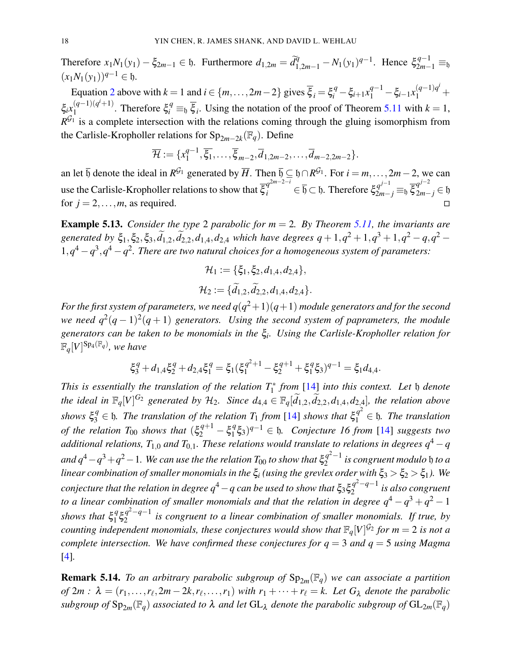Therefore  $x_1N_1(y_1) - \xi_{2m-1} \in \mathfrak{h}$ . Furthermore  $d_{1,2m} = \tilde{d}_{1,2m-1}^q - N_1(y_1)^{q-1}$ . Hence  $\xi_{2m-1}^{q-1} \equiv_{\mathfrak{h}}$  $(x_1N_1(y_1))^{q-1}$  ∈ h.

Equation 2 above with  $k = 1$  and  $i \in \{m, ..., 2m-2\}$  gives  $\overline{\xi}_i = \xi_i^q - \xi_{i+1} x_1^{q-1} - \xi_{i-1} x_1^{(q-1)q^i} +$  $\xi_i x_1^{(q-1)(q^i+1)}$  $\int_{1}^{(q-1)(q^t+1)}$ . Therefore  $\xi_i^q \equiv_{\mathfrak{h}} \overline{\xi_i}$ . Using the notation of the proof of Theorem 5.11 with  $k = 1$ ,  $R^{G_1}$  is a complete intersection with the relations coming through the gluing isomorphism from the Carlisle-Kropholler relations for  $Sp_{2m-2k}(\mathbb{F}_q)$ . Define

$$
\overline{\mathcal{H}} := \{x_1^{q-1}, \overline{\xi_1}, \ldots, \overline{\xi}_{m-2}, \overline{d}_{1,2m-2}, \ldots, \overline{d}_{m-2,2m-2}\}.
$$

an let  $\bar{b}$  denote the ideal in  $R^{G_1}$  generated by  $\bar{H}$ . Then  $\bar{b} \subseteq b \cap R^{G_1}$ . For  $i = m, \ldots, 2m-2$ , we can use the Carlisle-Kropholler relations to show that  $\overline{\xi}_i^{q^{2m-2-i}} \in \overline{\mathfrak{h}} \subset \mathfrak{h}$ . Therefore  $\xi_{2m-j}^{q^{j-1}} \equiv_{\mathfrak{h}} \overline{\xi}_{2m-j}^{q^{j-2}} \in \mathfrak{h}$ for  $j = 2, \ldots, m$ , as required.

Example 5.13. *Consider the type* 2 *parabolic for m* = 2*. By Theorem 5.11, the invariants are generated by*  $\xi_1, \xi_2, \xi_3, \widetilde{d}_{1,2}, \widetilde{d}_{2,2}, d_{1,4}, d_{2,4}$  *which have degrees*  $q + 1, q^2 + 1, q^3 + 1, q^2 - q, q^2 - q$  $1, q^4 - q^3, q^4 - q^2$ . There are two natural choices for a homogeneous system of parameters:

$$
\mathcal{H}_1 := \{ \xi_1, \xi_2, d_{1,4}, d_{2,4} \}, \n\mathcal{H}_2 := \{ \widetilde{d}_{1,2}, \widetilde{d}_{2,2}, d_{1,4}, d_{2,4} \}.
$$

For the first system of parameters, we need  $q(q^2+1)(q+1)$  module generators and for the second *we need*  $q^2(q-1)^2(q+1)$  generators. Using the second system of paprameters, the module *generators can be taken to be monomials in the* ξ*<sup>i</sup> . Using the Carlisle-Kropholler relation for*  $\mathbb{F}_q[V]^\text{Sp}_4(\mathbb{F}_q)$ , we have

$$
\xi_3^q + d_{1,4} \xi_2^q + d_{2,4} \xi_1^q = \xi_1 (\xi_1^{q^2+1} - \xi_2^{q+1} + \xi_1^q \xi_3)^{q-1} = \xi_1 d_{4,4}.
$$

*This is essentially the translation of the relation T*<sup>∗</sup> 1 *from* [14] *into this context. Let* h *denote the ideal in*  $\mathbb{F}_q[V]^{G_2}$  generated by  $\mathcal{H}_2$ . Since  $d_{4,4} \in \mathbb{F}_q[\widetilde{d}_{1,2}, \widetilde{d}_{2,2}, d_{1,4}, d_{2,4}]$ , the relation above  $14$  *shows*  $\xi_3^q \in \mathfrak{h}$ *. The translation of the relation*  $T_1$  *from* [14] *shows that*  $\xi_1^{q^2} \in \mathfrak{h}$ *. The translation of the relation*  $T_{00}$  *shows that*  $(\xi_2^{q+1} - \xi_1^q)$ 1 ξ3) *<sup>q</sup>*−<sup>1</sup> ∈ h*. Conjecture 16 from* [14] *suggests two additional relations,*  $T_{1,0}$  *and*  $T_{0,1}$ *. These relations would translate to relations in degrees*  $q^4 - q$ and  $q^4$   $-q^3$   $+$   $q^2$   $-$  1. We can use the the relation  $T_{00}$  to show that  $\xi_2^{q^2-1}$  $a_2^{q-1}$  is congruent modulo  $\mathfrak b$  to a *linear combination of smaller monomials in the*  $\xi$ *i* (using the grevlex order with  $\xi_3 > \xi_2 > \xi_1$ ). We  $\emph{conjecture}$  that the relation in degree  $q^4-q$  can be used to show that  $\xi_3 \xi_2^{q^2-q-1}$  $\int_{2}^{q-q-1}$  is also congruent *to a linear combination of smaller monomials and that the relation in degree*  $q^4 - q^3 + q^2 - 1$ *shows that* ξ *q*  $q \xi q^2 - q - 1$ <br>1  $52$  $\frac{q}{2}$   $\frac{-q-1}{q}$  is congruent to a linear combination of smaller monomials. If true, by *counting independent monomials, these conjectures would show that*  $\mathbb{F}_q[V]^{G_2}$  for  $m = 2$  is not a *complete intersection. We have confirmed these conjectures for q* = 3 *and q* = 5 *using Magma* [4]*.*

**Remark 5.14.** *To an arbitrary parabolic subgroup of*  $Sp_{2m}(\mathbb{F}_q)$  *we can associate a partition of*  $2m : \lambda = (r_1, \ldots, r_\ell, 2m - 2k, r_\ell, \ldots, r_1)$  *with*  $r_1 + \cdots + r_\ell = k$ . Let  $G_\lambda$  denote the parabolic *subgroup of*  $Sp_{2m}(\mathbb{F}_q)$  *associated to*  $\lambda$  *and let*  $GL_{\lambda}$  *denote the parabolic subgroup of*  $GL_{2m}(\mathbb{F}_q)$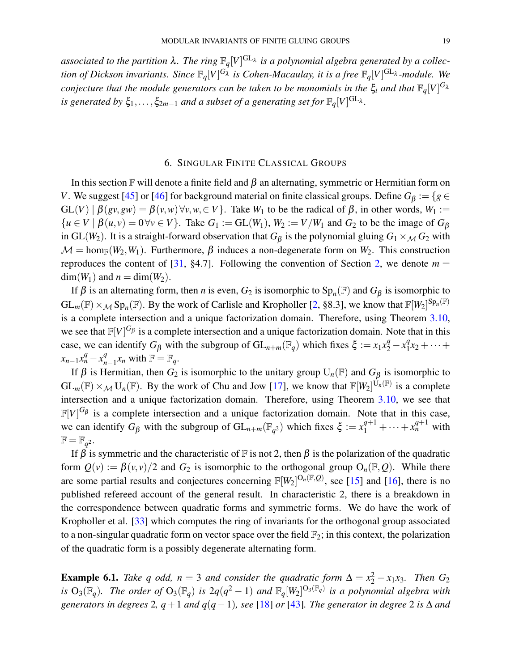associated to the partition  $\lambda$ . The ring  $\mathbb{F}_q[V]^{\text{GL}_\lambda}$  is a polynomial algebra generated by a collec*tion of Dickson invariants. Since* F*q*[*V*] *<sup>G</sup>*<sup>λ</sup> *is Cohen-Macaulay, it is a free* F*q*[*V*] GL<sup>λ</sup> *-module. We conjecture that the module generators can be taken to be monomials in the*  $\xi_i$  and that  $\mathbb{F}_q[V]^{G_\lambda}$ *is generated by*  $\xi_1, \ldots, \xi_{2m-1}$  *and a subset of a generating set for*  $\mathbb{F}_q[V]^\text{GL}_\lambda$ .

#### 6. SINGULAR FINITE CLASSICAL GROUPS

In this section  $\mathbb F$  will denote a finite field and  $\beta$  an alternating, symmetric or Hermitian form on *V*. We suggest [45] or [46] for background material on finite classical groups. Define  $G_{\beta} := \{g \in G : g \in G\}$  $GL(V) | \beta(gv,gw) = \beta(v,w) \forall v, w \in V$ . Take  $W_1$  to be the radical of  $\beta$ , in other words,  $W_1 :=$  ${u \in V \mid \beta(u, v) = 0 \forall v \in V}$ . Take  $G_1 := GL(W_1)$ ,  $W_2 := V/W_1$  and  $G_2$  to be the image of  $G_\beta$ in GL( $W_2$ ). It is a straight-forward observation that  $G_\beta$  is the polynomial gluing  $G_1 \times_M G_2$  with  $\mathcal{M} = \text{hom}_{\mathbb{F}}(W_2, W_1)$ . Furthermore,  $\beta$  induces a non-degenerate form on  $W_2$ . This construction reproduces the content of [31, §4.7]. Following the convention of Section 2, we denote  $m =$  $dim(W_1)$  and  $n = dim(W_2)$ .

If  $\beta$  is an alternating form, then *n* is even,  $G_2$  is isomorphic to  $Sp_n(\mathbb{F})$  and  $G_\beta$  is isomorphic to  $GL_m(\mathbb{F}) \times_M Sp_n(\mathbb{F})$ . By the work of Carlisle and Kropholler [2, §8.3], we know that  $\mathbb{F}[W_2]^{Sp_n(\mathbb{F})}$ is a complete intersection and a unique factorization domain. Therefore, using Theorem 3.10, we see that  $\mathbb{F}[V]^{G_{\beta}}$  is a complete intersection and a unique factorization domain. Note that in this case, we can identify  $G_\beta$  with the subgroup of  $GL_{n+m}(\mathbb{F}_q)$  which fixes  $\xi := x_1 x_2^q - x_1^q$  $x_1^q x_2 + \cdots +$  $x_{n-1}x_n^q - x_n^q$  $_{n-1}^{q}$ *x<sub>n</sub>* with  $\mathbb{F} = \mathbb{F}_q$ .

If  $\beta$  is Hermitian, then  $G_2$  is isomorphic to the unitary group  $U_n(\mathbb{F})$  and  $G_\beta$  is isomorphic to  $GL_m(\mathbb{F}) \times_M U_n(\mathbb{F})$ . By the work of Chu and Jow [17], we know that  $\mathbb{F}[W_2]^{U_n(\mathbb{F})}$  is a complete intersection and a unique factorization domain. Therefore, using Theorem 3.10, we see that  $\mathbb{F}[V]^{G_{\beta}}$  is a complete intersection and a unique factorization domain. Note that in this case, we can identify  $G_\beta$  with the subgroup of  $GL_{n+m}(\mathbb{F}_{q^2})$  which fixes  $\xi := x_1^{q+1} + \cdots + x_n^{q+1}$  with  $\mathbb{F} = \mathbb{F}_{q^2}$ .

If  $\beta$  is symmetric and the characteristic of F is not 2, then  $\beta$  is the polarization of the quadratic form  $Q(v) := \beta(v, v)/2$  and  $G_2$  is isomorphic to the orthogonal group  $O_n(\mathbb{F}, Q)$ . While there are some partial results and conjectures concerning  $\mathbb{F}[W_2]^{O_n(\mathbb{F},Q)}$ , see [15] and [16], there is no published refereed account of the general result. In characteristic 2, there is a breakdown in the correspondence between quadratic forms and symmetric forms. We do have the work of Kropholler et al. [33] which computes the ring of invariants for the orthogonal group associated to a non-singular quadratic form on vector space over the field  $\mathbb{F}_2$ ; in this context, the polarization of the quadratic form is a possibly degenerate alternating form.

**Example 6.1.** *Take q odd,*  $n = 3$  *and consider the quadratic form*  $\Delta = x_2^2 - x_1x_3$ *. Then*  $G_2$ *is*  $O_3(\mathbb{F}_q)$ . The order of  $O_3(\mathbb{F}_q)$  is  $2q(q^2-1)$  and  $\mathbb{F}_q[W_2]^{O_3(\mathbb{F}_q)}$  is a polynomial algebra with *generators in degrees* 2*, q*+1 *and q*(*q*−1)*, see* [18] *or* [43]*. The generator in degree* 2 *is* ∆ *and*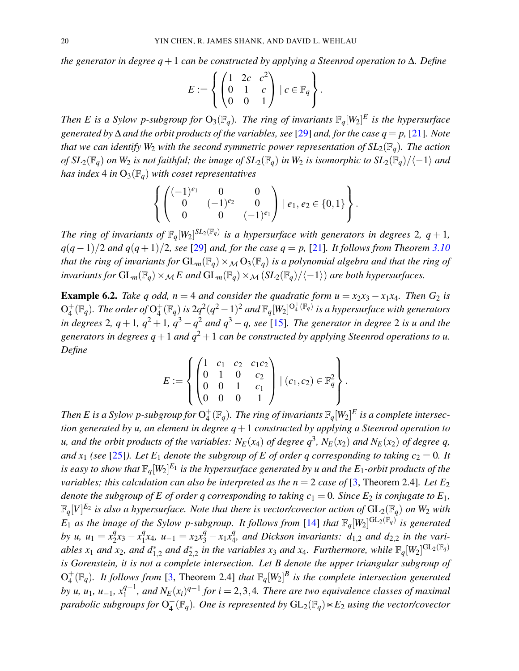*the generator in degree q*+1 *can be constructed by applying a Steenrod operation to* ∆*. Define*

$$
E := \left\{ \begin{pmatrix} 1 & 2c & c^2 \\ 0 & 1 & c \\ 0 & 0 & 1 \end{pmatrix} \mid c \in \mathbb{F}_q \right\}.
$$

*Then E is a Sylow p-subgroup for*  $O_3(\mathbb{F}_q)$ . *The ring of invariants*  $\mathbb{F}_q[W_2]^E$  *is the hypersurface generated by* ∆ *and the orbit products of the variables, see* [29] *and, for the case q* = *p,* [21]*. Note that we can identify*  $W_2$  *with the second symmetric power representation of*  $SL_2(\mathbb{F}_q)$ *. The action of*  $SL_2(\mathbb{F}_q)$  *on*  $W_2$  *is not faithful; the image of*  $SL_2(\mathbb{F}_q)$  *in*  $W_2$  *is isomorphic to*  $SL_2(\mathbb{F}_q)/\langle-1\rangle$  *and has index* 4 *in*  $O_3(\mathbb{F}_q)$  *with coset representatives* 

$$
\left\{ \begin{pmatrix} (-1)^{e_1} & 0 & 0 \\ 0 & (-1)^{e_2} & 0 \\ 0 & 0 & (-1)^{e_1} \end{pmatrix} \mid e_1, e_2 \in \{0, 1\} \right\}.
$$

*The ring of invariants of*  $\mathbb{F}_q[W_2]^{SL_2(\mathbb{F}_q)}$  *is a hypersurface with generators in degrees* 2*, q* + 1*, q*(*q*−1)/2 *and q*(*q*+1)/2*, see* [29] *and, for the case q* = *p,* [21]*. It follows from Theorem 3.10 that the ring of invariants for*  $GL_m(\mathbb{F}_q) \times_M O_3(\mathbb{F}_q)$  *is a polynomial algebra and that the ring of invariants for*  $GL_m(\mathbb{F}_q) \times_M E$  and  $GL_m(\mathbb{F}_q) \times_M (SL_2(\mathbb{F}_q)/\langle -1 \rangle)$  *are both hypersurfaces.* 

**Example 6.2.** *Take q odd, n* = 4 *and consider the quadratic form u* =  $x_2x_3 - x_1x_4$ *. Then G*<sub>2</sub> *is*  $\overline{\mathrm{O}_4^+}$  $_{4}^{+}(\mathbb{F}_{q})$ . The order of  $\mathrm{O}_{4}^{+}$  $_{4}^{+}(\mathbb{F}_{q})$  *is*  $2q^{2}(q^{2}-1)^{2}$  *and*  $\mathbb{F}_{q}[W_{2}]^{\mathrm{O}_{4}^{+}(\mathbb{F}_{q})}$  *is a hypersurface with generators in degrees* 2,  $q+1$ ,  $q^2+1$ ,  $q^3-q^2$  *and*  $q^3-q$ , see [15]. The generator in degree 2 *is u and the generators in degrees*  $q+1$  *and*  $q^2+1$  *can be constructed by applying Steenrod operations to u. Define*

$$
E := \left\{ \begin{pmatrix} 1 & c_1 & c_2 & c_1c_2 \\ 0 & 1 & 0 & c_2 \\ 0 & 0 & 1 & c_1 \\ 0 & 0 & 0 & 1 \end{pmatrix} \mid (c_1, c_2) \in \mathbb{F}_q^2 \right\}.
$$

*Then E is a Sylow p-subgroup for*  $O_4^+$  $_{4}^{+}(\mathbb{F}_{q}).$  The ring of invariants  $\mathbb{F}_{q}[W_{2}]^{E}$  is a complete intersec*tion generated by u, an element in degree q*+1 *constructed by applying a Steenrod operation to u, and the orbit products of the variables:*  $N_E(x_4)$  *of degree*  $q^3$ *,*  $N_E(x_2)$  *and*  $N_E(x_2)$  *of degree*  $q$ *, and x*<sub>1</sub> (see [25]). Let E<sub>1</sub> denote the subgroup of E of order q corresponding to taking  $c_2 = 0$ . It is easy to show that  $\mathbb{F}_q[W_2]^{E_1}$  is the hypersurface generated by u and the  $E_1$ -orbit products of the *variables; this calculation can also be interpreted as the*  $n = 2$  *case of* [3, Theorem 2.4]*. Let*  $E_2$ *denote the subgroup of E of order q corresponding to taking*  $c_1 = 0$ *. Since*  $E_2$  *is conjugate to*  $E_1$ *,*  $\mathbb{F}_q[V]^{E_2}$  is also a hypersurface. Note that there is vector/covector action of  $\mathrm{GL}_2(\mathbb{F}_q)$  on  $W_2$  with  $E_1$  *as the image of the Sylow p-subgroup. It follows from* [14] *that*  $\mathbb{F}_q[W_2]^{\text{GL}_2(\mathbb{F}_q)}$  *is generated by u, u*<sub>1</sub> =  $x_2^q$  $x_2^q x_3 - x_1^q$  $x_1^q x_4$ ,  $u_{-1} = x_2 x_3^q - x_1 x_4^q$  $_{4}^{q}$ , and Dickson invariants:  $d_{1,2}$  and  $d_{2,2}$  in the variables  $x_1$  and  $x_2$ , and  $d_{1,2}^*$  and  $d_{2,2}^*$  in the variables  $x_3$  and  $x_4$ . Furthermore, while  $\mathbb{F}_q[W_2]^{\text{GL}_2(\mathbb{F}_q)}$ *is Gorenstein, it is not a complete intersection. Let B denote the upper triangular subgroup of*  $\mathrm{O}_4^+$  $^{+}_{4}(\mathbb{F}_{q})$ . It follows from [3, Theorem 2.4] that  $\mathbb{F}_{q}[W_{2}]^{B}$  is the complete intersection generated *by u, u*<sub>1</sub>*, u*<sub>-1</sub>*, x*<sup>q-1</sup>  $N_E^{q-1}$ , and  $N_E(x_i)^{q-1}$  for  $i = 2, 3, 4$ . There are two equivalence classes of maximal *parabolic subgroups for* O +  $^{+}_{4}(\mathbb{F}_{q})$ . One is represented by  $\mathrm{GL}_{2}(\mathbb{F}_{q})$   $\ltimes$  E<sub>2</sub> *using the vector/covector*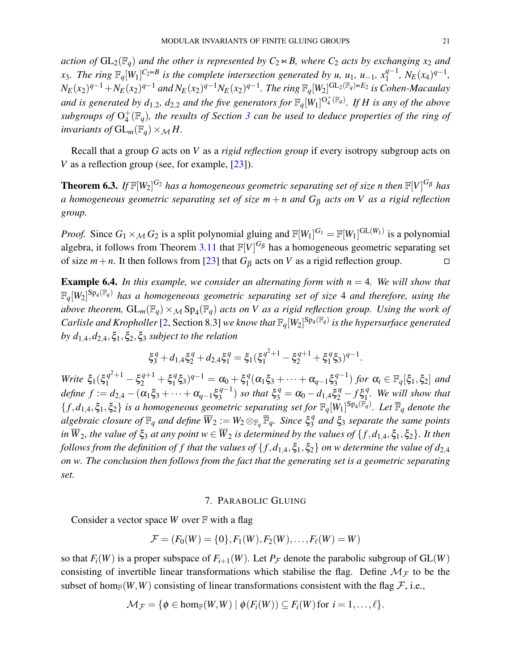*action of*  $GL_2(\mathbb{F}_q)$  *and the other is represented by*  $C_2 \times B$ *, where*  $C_2$  *acts by exchanging*  $x_2$  *and x*<sub>3</sub>*. The ring*  $\mathbb{F}_q[W_1]^{C_2 \times B}$  *is the complete intersection generated by u, u*<sub>1</sub>*, u*<sub>−1</sub>*, x*<sup>q−1</sup>  $\int_{1}^{q-1}$ ,  $N_E(x_4)^{q-1}$ ,  $N_E(x_2)^{q-1}+N_E(x_2)^{q-1}$  and  $N_E(x_2)^{q-1}N_E(x_2)^{q-1}$ . The ring  $\mathbb{F}_q[W_2]^{\text{GL}_2(\mathbb{F}_q)\ltimes E_2}$  is Cohen-Macaulay and is generated by  $d_{1,2}$ ,  $d_{2,2}$  and the five generators for  $\mathbb{F}_q[W_1]^{O_q^+(\mathbb{F}_q)}$ . If H is any of the above subgroups of  $O_4^+$ 4 (F*q*)*, the results of Section 3 can be used to deduce properties of the ring of invariants of*  $GL_m(\mathbb{F}_q) \times_M H$ .

Recall that a group *G* acts on *V* as a *rigid reflection group* if every isotropy subgroup acts on *V* as a reflection group (see, for example, [23]).

**Theorem 6.3.** If  $\mathbb{F}[W_2]^{G_2}$  has a homogeneous geometric separating set of size n then  $\mathbb{F}[V]^{G_\beta}$  has *a homogeneous geometric separating set of size m* + *n and G*<sup>β</sup> *acts on V as a rigid reflection group.*

*Proof.* Since  $G_1 \times_M G_2$  is a split polynomial gluing and  $\mathbb{F}[W_1]^{G_1} = \mathbb{F}[W_1]^{GL(W_1)}$  is a polynomial algebra, it follows from Theorem 3.11 that  $\mathbb{F}[V]^{G_\beta}$  has a homogeneous geometric separating set of size  $m + n$ . It then follows from [23] that  $G_\beta$  acts on *V* as a rigid reflection group.

**Example 6.4.** In this example, we consider an alternating form with  $n = 4$ . We will show that  $\mathbb{F}_q[W_2]^{Sp_4(\mathbb{F}_q)}$  has a homogeneous geometric separating set of size 4 and therefore, using the above theorem,  $GL_m(\mathbb{F}_q)\times_M \text{Sp}_4(\mathbb{F}_q)$  acts on V as a rigid reflection group. Using the work of *Carlisle and Kropholler* [2, Section 8.3] *we know that*  $\mathbb{F}_q[W_2]^{Sp_4(\mathbb{F}_q)}$  *is the hypersurface generated by*  $d_{1,4}$ ,  $d_{2,4}$ ,  $\xi_1$ ,  $\xi_2$ ,  $\xi_3$  *subject to the relation* 

$$
\xi_3^q + d_{1,4} \xi_2^q + d_{2,4} \xi_1^q = \xi_1 (\xi_1^{q^2+1} - \xi_2^{q+1} + \xi_1^q \xi_3)^{q-1}.
$$

*Write*  $\xi_1(\xi_1^{q^2+1} - \xi_2^{q+1} + \xi_1^q)$  $(\frac{q}{1}\xi_3)^{q-1} = \alpha_0 + \xi_1^q$  $a_1^q(\alpha_1\xi_3 + \cdots + \alpha_{q-1}\xi_3^{q-1})$  $\binom{q-1}{3}$  for  $\alpha_i \in \mathbb{F}_q[\xi_1, \xi_2]$  and  $define f := d_{2,4} - (\alpha_1 \xi_3 + \cdots + \alpha_{q-1} \xi_3^{q-1})$  $\binom{q-1}{3}$  *so that*  $\xi_3^q = \alpha_0 - d_{1,4} \xi_2^q - f \xi_1^q$ 1 *. We will show that*  ${f, d_{1,4}, \xi_1, \xi_2}$  *is a homogeneous geometric separating set for*  $\mathbb{F}_q[W_1]^{Sp_4(\mathbb{F}_q)}$ *. Let*  $\overline{\mathbb{F}}_q$  *denote the*  $a$ *lgebraic closure of*  $\mathbb{F}_q$  *and define*  $\overline{W}_2 := W_2 \otimes_{\mathbb{F}_q} \overline{\mathbb{F}}_q$ *. Since*  $\xi_3^q$ 3 *and* ξ<sup>3</sup> *separate the same points in*  $\overline{W}_2$ *, the value of*  $\xi_3$  *at any point*  $w \in \overline{W}_2$  *is determined by the values of*  $\{f, d_{1,4}, \xi_1, \xi_2\}$ *. It then follows from the definition of f that the values of*  $\{f, d_{1,4}, \xi_1, \xi_2\}$  *on w determine the value of*  $d_{2,4}$ *on w. The conclusion then follows from the fact that the generating set is a geometric separating set.*

#### 7. PARABOLIC GLUING

Consider a vector space *W* over F with a flag

$$
\mathcal{F} = (F_0(W) = \{0\}, F_1(W), F_2(W), \dots, F_\ell(W) = W)
$$

so that  $F_i(W)$  is a proper subspace of  $F_{i+1}(W)$ . Let  $P_{\mathcal{F}}$  denote the parabolic subgroup of  $GL(W)$ consisting of invertible linear transformations which stabilise the flag. Define  $\mathcal{M}_{\mathcal{F}}$  to be the subset of hom<sub>F</sub> $(W, W)$  consisting of linear transformations consistent with the flag  $F$ , i.e.,

$$
\mathcal{M}_{\mathcal{F}} = \{\phi \in \hom_\mathbb{F}(W,W) \mid \phi(F_i(W)) \subseteq F_i(W) \, \text{for} \, \, i=1,\ldots,\ell\}.
$$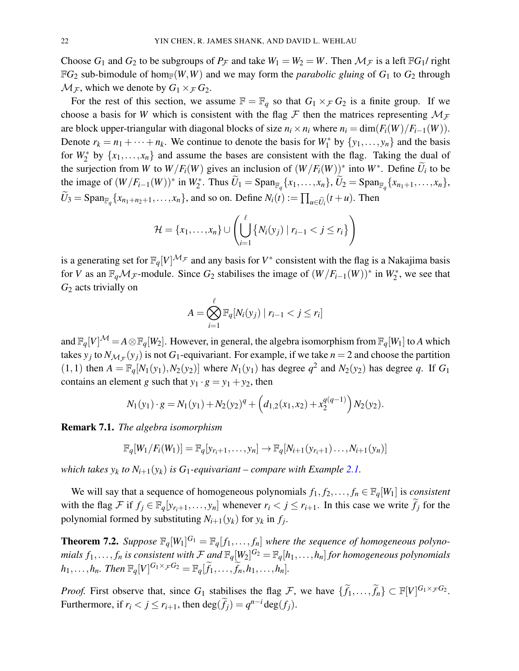Choose  $G_1$  and  $G_2$  to be subgroups of  $P_{\mathcal{F}}$  and take  $W_1 = W_2 = W$ . Then  $\mathcal{M}_{\mathcal{F}}$  is a left  $\mathbb{F}G_1$ / right  $\mathbb{F}G_2$  sub-bimodule of hom<sub> $\mathbb{F}(W,W)$  and we may form the *parabolic gluing* of  $G_1$  to  $G_2$  through</sub>  $\mathcal{M}_{\mathcal{F}}$ , which we denote by  $G_1 \times_{\mathcal{F}} G_2$ .

For the rest of this section, we assume  $\mathbb{F} = \mathbb{F}_q$  so that  $G_1 \times_{\mathcal{F}} G_2$  is a finite group. If we choose a basis for *W* which is consistent with the flag  $\mathcal F$  then the matrices representing  $\mathcal M_{\mathcal F}$ are block upper-triangular with diagonal blocks of size  $n_i \times n_i$  where  $n_i = \dim(F_i(W)/F_{i-1}(W))$ . Denote  $r_k = n_1 + \cdots + n_k$ . We continue to denote the basis for  $W_1^*$  by  $\{y_1, \ldots, y_n\}$  and the basis for  $W_2^*$  by  $\{x_1, \ldots, x_n\}$  and assume the bases are consistent with the flag. Taking the dual of the surjection from *W* to  $W/F_i(W)$  gives an inclusion of  $(W/F_i(W))^*$  into  $W^*$ . Define  $\widetilde{U}_i$  to be the image of  $(W/F_{i-1}(W))^*$  in  $W_2^*$ . Thus  $\widetilde{U}_1 = \text{Span}_{\mathbb{F}_q}\{x_1, ..., x_n\}$ ,  $\widetilde{U}_2 = \text{Span}_{\mathbb{F}_q}\{x_{n_1+1}, ..., x_n\}$ ,  $U_3 = \text{Span}_{\mathbb{F}_q} \{x_{n_1+n_2+1}, \ldots, x_n\}$ , and so on. Define  $N_i(t) := \prod_{u \in \widetilde{U}_i} (t+u)$ . Then

$$
\mathcal{H} = \{x_1,\ldots,x_n\} \cup \left(\bigcup_{i=1}^{\ell} \left\{N_i(y_j) \mid r_{i-1} < j \leq r_i\right\}\right)
$$

is a generating set for  $\mathbb{F}_q[V]^{\mathcal{M}_{\mathcal{F}}}$  and any basis for  $V^*$  consistent with the flag is a Nakajima basis for *V* as an  $\mathbb{F}_qM$  –module. Since  $G_2$  stabilises the image of  $(W/F_{i-1}(W))^*$  in  $W_2^*$ , we see that *G*<sup>2</sup> acts trivially on

$$
A = \bigotimes_{i=1}^{\ell} \mathbb{F}_q[N_i(y_j) \mid r_{i-1} < j \leq r_i]
$$

and  $\mathbb{F}_q[V]^{\mathcal{M}} = A \otimes \mathbb{F}_q[W_2]$ . However, in general, the algebra isomorphism from  $\mathbb{F}_q[W_1]$  to *A* which takes  $y_j$  to  $N_{\mathcal{M}_{\mathcal{F}}}(y_j)$  is not  $G_1$ -equivariant. For example, if we take  $n = 2$  and choose the partition  $(1,1)$  then  $A = \mathbb{F}_q[N_1(y_1), N_2(y_2)]$  where  $N_1(y_1)$  has degree  $q^2$  and  $N_2(y_2)$  has degree q. If  $G_1$ contains an element *g* such that  $y_1 \cdot g = y_1 + y_2$ , then

$$
N_1(y_1) \cdot g = N_1(y_1) + N_2(y_2)^q + \left(d_{1,2}(x_1, x_2) + x_2^{q(q-1)}\right) N_2(y_2).
$$

Remark 7.1. *The algebra isomorphism*

$$
\mathbb{F}_q[W_1/F_i(W_1)] = \mathbb{F}_q[y_{r_i+1},\ldots,y_n] \rightarrow \mathbb{F}_q[N_{i+1}(y_{r_i+1})\ldots,y_{i+1}(y_n)]
$$

*which takes*  $y_k$  *to*  $N_{i+1}(y_k)$  *is*  $G_1$ *-equivariant* – *compare with Example* 2.1.

We will say that a sequence of homogeneous polynomials  $f_1, f_2, \ldots, f_n \in \mathbb{F}_q[W_1]$  is *consistent* with the flag F if  $f_j \in \mathbb{F}_q[y_{r_i+1},..., y_n]$  whenever  $r_i < j \leq r_{i+1}$ . In this case we write  $\tilde{f}_j$  for the polynomial formed by substituting  $N_{i+1}(y_k)$  for  $y_k$  in  $f_j$ .

**Theorem 7.2.** Suppose  $\mathbb{F}_q[W_1]^{G_1} = \mathbb{F}_q[f_1,\ldots,f_n]$  where the sequence of homogeneous polyno*mials*  $f_1,\ldots,f_n$  *is consistent with*  $\mathcal F$  *and*  $\mathbb F_q[W_2]^{G_2}=\mathbb F_q[h_1,\ldots,h_n]$  *for homogeneous polynomials*  $h_1,\ldots,h_n$ *. Then*  $\mathbb{F}_q[V]^{G_1\times_{\mathcal{F}} G_2} = \mathbb{F}_q[\widetilde{f}_1,\ldots,\widetilde{f}_n,h_1,\ldots,h_n]$ *.* 

*Proof.* First observe that, since  $G_1$  stabilises the flag  $\mathcal{F}$ , we have  $\{\widetilde{f}_1,\ldots,\widetilde{f}_n\} \subset \mathbb{F}[V]^{G_1 \times_{\mathcal{F}} G_2}$ . Furthermore, if  $r_i < j \le r_{i+1}$ , then  $\deg(\widetilde{f}_j) = q^{n-i} \deg(f_j)$ .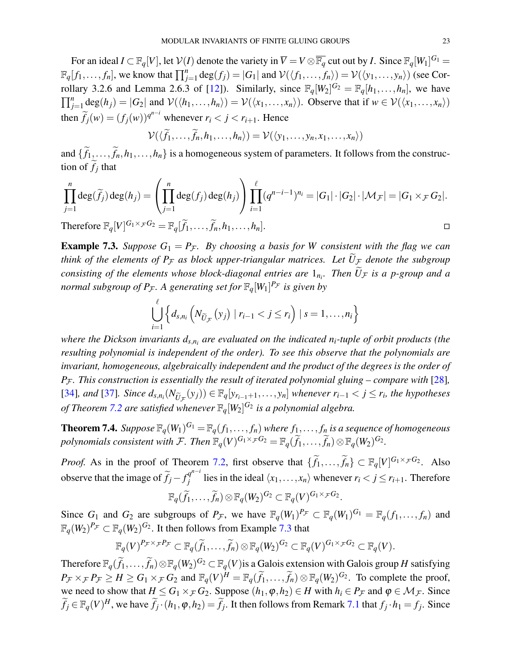For an ideal  $I \subset \mathbb{F}_q[V]$ , let  $\mathcal{V}(I)$  denote the variety in  $\overline{V} = V \otimes \overline{\mathbb{F}_q}$  cut out by *I*. Since  $\mathbb{F}_q[W_1]^{G_1} =$  $\mathbb{F}_q[f_1,\ldots,f_n]$ , we know that  $\prod_{j=1}^n \deg(f_j) = |G_1|$  and  $\mathcal{V}(\langle f_1,\ldots,f_n \rangle) = \mathcal{V}(\langle y_1,\ldots,y_n \rangle)$  (see Corrollary 3.2.6 and Lemma 2.6.3 of [12]). Similarly, since  $\mathbb{F}_q[W_2]^{G_2} = \mathbb{F}_q[h_1,\ldots,h_n]$ , we have  $\prod_{j=1}^{n} \deg(h_j) = |G_2|$  and  $\mathcal{V}(\langle h_1, \ldots, h_n \rangle) = \mathcal{V}(\langle x_1, \ldots, x_n \rangle)$ . Observe that if  $w \in \mathcal{V}(\langle x_1, \ldots, x_n \rangle)$ then  $\widetilde{f}_j(w) = (f_j(w))^{q^{n-i}}$  whenever  $r_i < j < r_{i+1}$ . Hence

$$
\mathcal{V}(\langle \widetilde{f}_1,\ldots,\widetilde{f}_n,h_1,\ldots,h_n\rangle)=\mathcal{V}(\langle y_1,\ldots,y_n,x_1,\ldots,x_n\rangle)
$$

and  $\{f_1,\ldots,f_n,h_1,\ldots,h_n\}$  is a homogeneous system of parameters. It follows from the construction of  $f_j$  that

$$
\prod_{j=1}^{n} \deg(\widetilde{f}_{j}) \deg(h_{j}) = \left(\prod_{j=1}^{n} \deg(f_{j}) \deg(h_{j})\right) \prod_{i=1}^{\ell} (q^{n-i-1})^{n_{i}} = |G_{1}| \cdot |G_{2}| \cdot |\mathcal{M}_{\mathcal{F}}| = |G_{1} \times_{\mathcal{F}} G_{2}|.
$$
\nTherefore  $\mathbb{E}[V]^{G_{1} \times_{\mathcal{F}} G_{2}} = \mathbb{E}[\widetilde{f}_{1} \ \ \widetilde{f}_{2} \ \ \widetilde{f}_{1} \ \ \widetilde{f}_{2} \ \ \widetilde{f}_{2} \ \ \widetilde{f}_{1} \ \ \widetilde{f}_{2} \ \ \widetilde{f}_{1} \ \ \widetilde{f}_{2} \ \ \widetilde{f}_{1} \ \ \widetilde{f}_{2} \ \ \widetilde{f}_{1} \ \ \widetilde{f}_{2} \ \ \widetilde{f}_{1} \ \ \widetilde{f}_{2} \ \ \widetilde{f}_{1} \ \ \widetilde{f}_{2} \ \ \widetilde{f}_{1} \ \ \widetilde{f}_{2} \ \ \widetilde{f}_{1} \ \ \widetilde{f}_{2} \ \ \widetilde{f}_{1} \ \ \widetilde{f}_{2} \ \ \widetilde{f}_{1} \ \ \widetilde{f}_{2} \ \ \widetilde{f}_{1} \ \ \widetilde{f}_{2} \ \ \widetilde{f}_{1} \ \ \widetilde{f}_{2} \ \ \widetilde{f}_{1} \ \ \widetilde{f}_{2} \ \ \widetilde{f}_{1} \ \ \widetilde{f}_{2} \ \ \widetilde{f}_{1} \ \ \widetilde{f}_{2} \ \ \widetilde{f}_{1} \ \ \widetilde{f}_{2} \ \ \widetilde{f}_{1} \ \ \widetilde{f}_{2} \ \ \widetilde{f}_{1} \ \ \widetilde{f}_{2} \ \ \widetilde{f}_{2} \ \ \widetilde{f}_{1} \ \ \widetilde{f}_{2} \ \ \widetilde{f}_{2} \ \ \widetilde{f}_{1} \ \ \widetilde{f}_{2} \ \ \widetilde{f}_{1} \ \ \widetilde{f}_{2} \ \ \widetilde{f}_{1} \ \ \widetilde{f}_{2} \ \ \widetilde{f}_{1} \ \ \widetilde{f}_{2} \ \ \widetilde{f}_{2} \ \$ 

**Therefore**  $\mathbb{F}_q[V]$  $E = \mathbb{F}_q[f_1, \ldots, f_n, h_1, \ldots, h_n].$ 

**Example 7.3.** Suppose  $G_1 = P_{\mathcal{F}}$ . By choosing a basis for W consistent with the flag we can *think of the elements of P<sub>F</sub> as block upper-triangular matrices. Let*  $\widetilde{U}_{\mathcal{F}}$  *denote the subgroup consisting of the elements whose block-diagonal entries are*  $1_{n_i}$ . Then  $U_{\mathcal{F}}$  *is a p-group and a normal subgroup of P<sub>F</sub>. A generating set for*  $\mathbb{F}_q[W_1]^{P_{\mathcal{F}}}$  is given by

$$
\bigcup_{i=1}^{\ell} \left\{ d_{s,n_i} \left( N_{\widetilde{U}_{\mathcal{F}}}(y_j) \mid r_{i-1} < j \leq r_i \right) \mid s = 1,\ldots,n_i \right\}
$$

*where the Dickson invariants ds*,*n<sup>i</sup> are evaluated on the indicated ni-tuple of orbit products (the resulting polynomial is independent of the order). To see this observe that the polynomials are invariant, homogeneous, algebraically independent and the product of the degrees is the order of*  $P_{\mathcal{F}}$ *. This construction is essentially the result of iterated polynomial gluing – compare with* [28]*,* [34], and [37]. Since  $d_{s,n_i}(N_{\widetilde{U}_{\mathcal{F}}}(y_j)) \in \mathbb{F}_q[y_{r_{i-1}+1},...,y_n]$  whenever  $r_{i-1} < j \leq r_i$ , the hypotheses *of Theorem 7.2 are satisfied whenever* F*q*[*W*2] *G*2 *is a polynomial algebra.*

**Theorem 7.4.** Suppose  $\mathbb{F}_q(W_1)^{G_1} = \mathbb{F}_q(f_1,\ldots,f_n)$  where  $f_1,\ldots,f_n$  is a sequence of homogeneous *polynomials consistent with*  $\mathcal{F}$ *. Then*  $\mathbb{F}_q(V)^{G_1 \times_{\mathcal{F}} G_2} = \mathbb{F}_q(\widetilde{f}_1,\ldots,\widetilde{f}_n) \otimes \mathbb{F}_q(W_2)^{G_2}$ *.* 

*Proof.* As in the proof of Theorem 7.2, first observe that  $\{\widetilde{f}_1,\ldots,\widetilde{f}_n\} \subset \mathbb{F}_q[V]^{G_1 \times_{\mathcal{F}} G_2}$ . Also observe that the image of  $\widetilde{f}_j - f_j^{q^{n-i}}$ *j* lies in the ideal  $\langle x_1, \ldots, x_n \rangle$  whenever  $r_i < j \leq r_{i+1}$ . Therefore

$$
\mathbb{F}_q(\widetilde{f}_1,\ldots,\widetilde{f}_n)\otimes \mathbb{F}_q(W_2)^{G_2}\subset \mathbb{F}_q(V)^{G_1\times_{\mathcal{F}}G_2}.
$$

Since  $G_1$  and  $G_2$  are subgroups of  $P_{\mathcal{F}}$ , we have  $\mathbb{F}_q(W_1)^{P_{\mathcal{F}}} \subset \mathbb{F}_q(W_1)^{G_1} = \mathbb{F}_q(f_1, \ldots, f_n)$  and  $\mathbb{F}_q(W_2)^{P_{\mathcal{F}}} \subset \mathbb{F}_q(W_2)^{G_2}$ . It then follows from Example 7.3 that

$$
\mathbb{F}_q(V)^{P_{\mathcal{F}}\times_{\mathcal{F}}P_{\mathcal{F}}} \subset \mathbb{F}_q(\widetilde{f}_1,\ldots,\widetilde{f}_n)\otimes \mathbb{F}_q(W_2)^{G_2} \subset \mathbb{F}_q(V)^{G_1\times_{\mathcal{F}}G_2} \subset \mathbb{F}_q(V).
$$

Therefore  $\mathbb{F}_q(\widetilde{f}_1,\ldots,\widetilde{f}_n)\otimes\mathbb{F}_q(W_2)^{G_2} \subset \mathbb{F}_q(V)$  is a Galois extension with Galois group *H* satisfying  $P_{\mathcal{F}} \times_{\mathcal{F}} P_{\mathcal{F}} \ge H \ge G_1 \times_{\mathcal{F}} G_2$  and  $\mathbb{F}_q(V)^H = \mathbb{F}_q(\widetilde{f}_1,\ldots,\widetilde{f}_n) \otimes \mathbb{F}_q(W_2)^{G_2}$ . To complete the proof, we need to show that  $H \leq G_1 \times_{\mathcal{F}} G_2$ . Suppose  $(h_1, \varphi, h_2) \in H$  with  $h_i \in P_{\mathcal{F}}$  and  $\varphi \in \mathcal{M}_{\mathcal{F}}$ . Since  $\widetilde{f}_j \in \mathbb{F}_q(V)^H$ , we have  $\widetilde{f}_j \cdot (h_1, \varphi, h_2) = \widetilde{f}_j$ . It then follows from Remark 7.1 that  $f_j \cdot h_1 = f_j$ . Since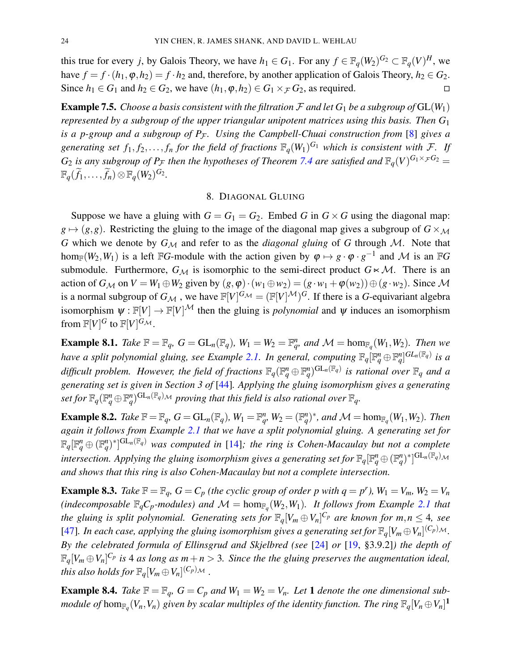this true for every *j*, by Galois Theory, we have  $h_1 \in G_1$ . For any  $f \in \mathbb{F}_q(W_2)^{G_2} \subset \mathbb{F}_q(V)^H$ , we have  $f = f \cdot (h_1, \varphi, h_2) = f \cdot h_2$  and, therefore, by another application of Galois Theory,  $h_2 \in G_2$ . Since  $h_1$  ∈  $G_1$  and  $h_2$  ∈  $G_2$ , we have  $(h_1, \varphi, h_2)$  ∈  $G_1 \times \mathcal{F} G_2$ , as required. □

**Example 7.5.** *Choose a basis consistent with the filtration*  $\mathcal F$  *and let*  $G_1$  *be a subgroup of*  $GL(W_1)$ *represented by a subgroup of the upper triangular unipotent matrices using this basis. Then G*<sup>1</sup> *is a p-group and a subgroup of P<sub>F</sub>. Using the Campbell-Chuai construction from* [8] *gives a* generating set  $f_1, f_2, \ldots, f_n$  for the field of fractions  $\mathbb{F}_q(W_1)^{G_1}$  which is consistent with F. If  $G_2$  *is any subgroup of P<sub>F</sub> then the hypotheses of Theorem 7.4 are satisfied and*  $\mathbb{F}_q(V)^{G_1 \times_F G_2}$  =  $\mathbb{F}_q(\widetilde{f}_1,\ldots,\widetilde{f}_n)\otimes \mathbb{F}_q(W_2)^{G_2}.$ 

#### 8. DIAGONAL GLUING

Suppose we have a gluing with  $G = G_1 = G_2$ . Embed *G* in  $G \times G$  using the diagonal map:  $g \mapsto (g, g)$ . Restricting the gluing to the image of the diagonal map gives a subgroup of  $G \times_M$ *G* which we denote by  $G_M$  and refer to as the *diagonal gluing* of *G* through *M*. Note that hom<sub>F</sub>( $W_2, W_1$ ) is a left FG-module with the action given by  $\varphi \mapsto g \cdot \varphi \cdot g^{-1}$  and M is an FG submodule. Furthermore,  $G_M$  is isomorphic to the semi-direct product  $G \times \mathcal{M}$ . There is an action of  $G_M$  on  $V = W_1 \oplus W_2$  given by  $(g, \varphi) \cdot (w_1 \oplus w_2) = (g \cdot w_1 + \varphi(w_2)) \oplus (g \cdot w_2)$ . Since M is a normal subgroup of  $G_{\mathcal{M}}$  , we have  $\mathbb{F}[V]^{G_{\mathcal{M}}} = (\mathbb{F}[V]^{\mathcal{M}})^G$ . If there is a *G*-equivariant algebra isomorphism  $\psi : \mathbb{F}[V] \to \mathbb{F}[V]^{\mathcal{M}}$  then the gluing is *polynomial* and  $\psi$  induces an isomorphism from  $\mathbb{F}[V]^G$  to  $\mathbb{F}[V]^{G_{\mathcal{M}}}$ .

**Example 8.1.** Take  $\mathbb{F} = \mathbb{F}_q$ ,  $G = GL_n(\mathbb{F}_q)$ ,  $W_1 = W_2 = \mathbb{F}_q^n$  and  $\mathcal{M} = \text{hom}_{\mathbb{F}_q}(W_1, W_2)$ . Then we *have a split polynomial gluing, see Example 2.1. In general, computing*  $\mathbb{F}_q[\mathbb{F}_q^n \oplus \mathbb{F}_q^n]^{GL_n(\mathbb{F}_q)}$  is a difficult problem. However, the field of fractions  $\mathbb{F}_q(\mathbb{F}_q^n \oplus \mathbb{F}_q^n)^{\text{GL}_n(\mathbb{F}_q)}$  is rational over  $\mathbb{F}_q$  and a *generating set is given in Section 3 of* [44]*. Applying the gluing isomorphism gives a generating* set for  $\mathbb{F}_q(\mathbb{F}_q^n \oplus \mathbb{F}_q^n)^{\text{GL}_n(\mathbb{F}_q)}$ M proving that this field is also rational over  $\mathbb{F}_q$ .

**Example 8.2.** Take  $\mathbb{F} = \mathbb{F}_q$ ,  $G = GL_n(\mathbb{F}_q)$ ,  $W_1 = \mathbb{F}_q^n$ ,  $W_2 = (\mathbb{F}_q^n)^*$ , and  $\mathcal{M} = \text{hom}_{\mathbb{F}_q}(W_1, W_2)$ . Then *again it follows from Example 2.1 that we have a split polynomial gluing. A generating set for*  $\mathbb{F}_q[\mathbb{F}_q^n \oplus (\mathbb{F}_q^n)^*]^{\text{GL}_n(\mathbb{F}_q)}$  was computed in [14]; the ring is Cohen-Macaulay but not a complete *intersection. Applying the gluing isomorphism gives a generating set for*  $\mathbb{F}_q[\mathbb{F}_q^n \oplus (\mathbb{F}_q^n)^*]^{\text{GL}_n(\mathbb{F}_q)}$ *and shows that this ring is also Cohen-Macaulay but not a complete intersection.*

**Example 8.3.** Take  $\mathbb{F} = \mathbb{F}_q$ ,  $G = C_p$  (the cyclic group of order p with  $q = p^r$ ),  $W_1 = V_m$ ,  $W_2 = V_n$ (indecomposable  $\mathbb{F}_qC_p$ -modules) and  $\mathcal{M} = \text{hom}_{\mathbb{F}_q}(W_2, W_1)$ . It follows from Example 2.1 that *the gluing is split polynomial. Generating sets for*  $\mathbb{F}_q[V_m \oplus V_n]^{C_p}$  are known for  $m, n \leq 4$ , see [47]. In each case, applying the gluing isomorphism gives a generating set for  $\mathbb{F}_q[V_m \oplus V_n]^{(\mathcal{C}_p)_{\mathcal{M}}}$ . *By the celebrated formula of Ellinsgrud and Skjelbred (see* [24] *or* [19, §3.9.2]*) the depth of*  $\mathbb{F}_q[V_m \oplus V_n]^{C_p}$  is 4 as long as  $m+n>3$ . Since the the gluing preserves the augmentation ideal, *this also holds for*  $\mathbb{F}_q[V_m \oplus V_n]^{(\mathcal{C}_p)_{\mathcal{M}}}$  *.* 

**Example 8.4.** *Take*  $\mathbb{F} = \mathbb{F}_q$ ,  $G = C_p$  *and*  $W_1 = W_2 = V_n$ . Let 1 *denote the one dimensional submodule of* hom $_{\mathbb{F}_q}(V_n, V_n)$  given by scalar multiples of the identity function. The ring  $\mathbb{F}_q[V_n \oplus V_n]^{\bf 1}$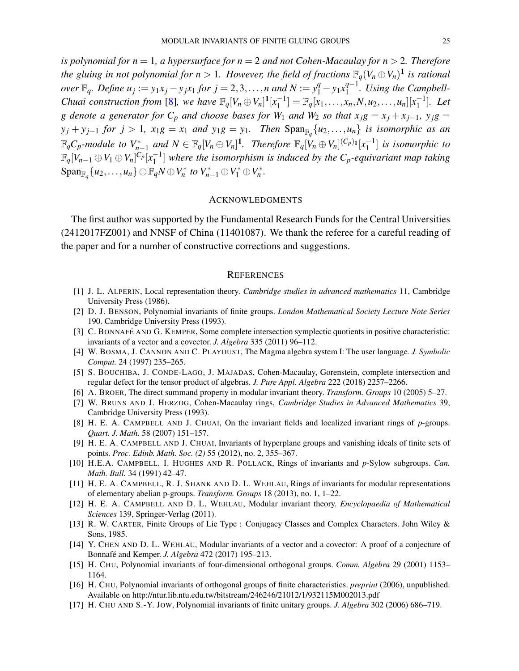*is polynomial for n* = 1*, a hypersurface for n* = 2 *and not Cohen-Macaulay for n* > 2*. Therefore the gluing in not polynomial for n*  $> 1$ *. However, the field of fractions*  $\mathbb{F}_q(V_n \oplus V_n)^{\mathbf{1}}$  *is rational over*  $\mathbb{F}_q$ *. Define*  $u_j := y_1 x_j - y_j x_1$  *for*  $j = 2, 3, ..., n$  *and*  $N := y_1^q - y_1 x_1^{q-1}$ 1 *. Using the Campbell-Chuai construction from* [8], we have  $\mathbb{F}_q[V_n \oplus V_n]^1[x_1^{-1}]$  $\mathbb{F}_q[x_1,\ldots,x_n,N,u_2,\ldots,u_n][x_1^{-1}]$  $\binom{-1}{1}$ *. Let g* denote a generator for  $C_p$  and choose bases for  $W_1$  and  $W_2$  so that  $x_i g = x_j + x_{j-1}$ ,  $y_i g = x_j g$  $y_j + y_{j-1}$  *for*  $j > 1$ *,*  $x_1g = x_1$  *and*  $y_1g = y_1$ *. Then*  $\text{Span}_{\mathbb{F}_q}\{u_2, \ldots, u_n\}$  *is isomorphic as an*  $\mathbb{F}_qC_p$ -module to  $V_{n-1}^*$  and  $N \in \mathbb{F}_q[V_n \oplus V_n]^1$ . Therefore  $\mathbb{F}_q[V_n \oplus V_n]^{(C_p)_1}[x_1^{-1}]$  $\begin{bmatrix} -1 \\ 1 \end{bmatrix}$  is isomorphic to  $\mathbb{F}_q[V_{n-1}\oplus V_1\oplus V_n]^{C_p}[x_1^{-1}]$ 1 ] *where the isomorphism is induced by the Cp-equivariant map taking*  $\text{Span}_{\mathbb{F}_q} \{u_2, \ldots, u_n\} \oplus \mathbb{F}_q N \oplus V_n^* \text{ to } V_{n-1}^* \oplus V_1^* \oplus V_n^*.$ 

#### ACKNOWLEDGMENTS

The first author was supported by the Fundamental Research Funds for the Central Universities (2412017FZ001) and NNSF of China (11401087). We thank the referee for a careful reading of the paper and for a number of constructive corrections and suggestions.

#### **REFERENCES**

- [1] J. L. ALPERIN, Local representation theory. *Cambridge studies in advanced mathematics* 11, Cambridge University Press (1986).
- [2] D. J. BENSON, Polynomial invariants of finite groups. *London Mathematical Society Lecture Note Series* 190. Cambridge University Press (1993).
- [3] C. BONNAFÉ AND G. KEMPER, Some complete intersection symplectic quotients in positive characteristic: invariants of a vector and a covector. *J. Algebra* 335 (2011) 96–112.
- [4] W. BOSMA, J. CANNON AND C. PLAYOUST, The Magma algebra system I: The user language. *J. Symbolic Comput.* 24 (1997) 235–265.
- [5] S. BOUCHIBA, J. CONDE-LAGO, J. MAJADAS, Cohen-Macaulay, Gorenstein, complete intersection and regular defect for the tensor product of algebras. *J. Pure Appl. Algebra* 222 (2018) 2257–2266.
- [6] A. BROER, The direct summand property in modular invariant theory. *Transform. Groups* 10 (2005) 5–27.
- [7] W. BRUNS AND J. HERZOG, Cohen-Macaulay rings, *Cambridge Studies in Advanced Mathematics* 39, Cambridge University Press (1993).
- [8] H. E. A. CAMPBELL AND J. CHUAI, On the invariant fields and localized invariant rings of *p*-groups. *Quart. J. Math.* 58 (2007) 151–157.
- [9] H. E. A. CAMPBELL AND J. CHUAI, Invariants of hyperplane groups and vanishing ideals of finite sets of points. *Proc. Edinb. Math. Soc. (2)* 55 (2012), no. 2, 355–367.
- [10] H.E.A. CAMPBELL, I. HUGHES AND R. POLLACK, Rings of invariants and *p*-Sylow subgroups. *Can. Math. Bull.* 34 (1991) 42–47.
- [11] H. E. A. CAMPBELL, R. J. SHANK AND D. L. WEHLAU, Rings of invariants for modular representations of elementary abelian p-groups. *Transform. Groups* 18 (2013), no. 1, 1–22.
- [12] H. E. A. CAMPBELL AND D. L. WEHLAU, Modular invariant theory. *Encyclopaedia of Mathematical Sciences* 139, Springer-Verlag (2011).
- [13] R. W. CARTER, Finite Groups of Lie Type : Conjugacy Classes and Complex Characters. John Wiley & Sons, 1985.
- [14] Y. CHEN AND D. L. WEHLAU, Modular invariants of a vector and a covector: A proof of a conjecture of Bonnafé and Kemper. *J. Algebra* 472 (2017) 195–213.
- [15] H. CHU, Polynomial invariants of four-dimensional orthogonal groups. *Comm. Algebra* 29 (2001) 1153– 1164.
- [16] H. CHU, Polynomial invariants of orthogonal groups of finite characteristics. *preprint* (2006), unpublished. Available on http://ntur.lib.ntu.edu.tw/bitstream/246246/21012/1/932115M002013.pdf
- [17] H. CHU AND S.-Y. JOW, Polynomial invariants of finite unitary groups. *J. Algebra* 302 (2006) 686–719.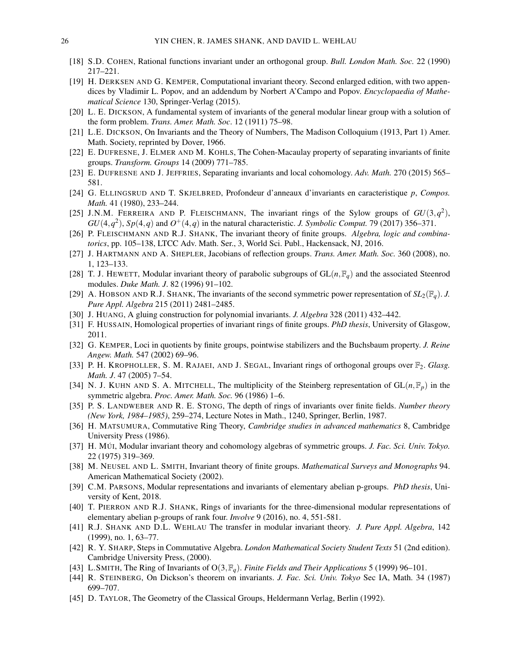- [18] S.D. COHEN, Rational functions invariant under an orthogonal group. *Bull. London Math. Soc.* 22 (1990) 217–221.
- [19] H. DERKSEN AND G. KEMPER, Computational invariant theory. Second enlarged edition, with two appendices by Vladimir L. Popov, and an addendum by Norbert A'Campo and Popov. *Encyclopaedia of Mathematical Science* 130, Springer-Verlag (2015).
- [20] L. E. DICKSON, A fundamental system of invariants of the general modular linear group with a solution of the form problem. *Trans. Amer. Math. Soc*. 12 (1911) 75–98.
- [21] L.E. DICKSON, On Invariants and the Theory of Numbers, The Madison Colloquium (1913, Part 1) Amer. Math. Society, reprinted by Dover, 1966.
- [22] E. DUFRESNE, J. ELMER AND M. KOHLS, The Cohen-Macaulay property of separating invariants of finite groups. *Transform. Groups* 14 (2009) 771–785.
- [23] E. DUFRESNE AND J. JEFFRIES, Separating invariants and local cohomology. *Adv. Math.* 270 (2015) 565– 581.
- [24] G. ELLINGSRUD AND T. SKJELBRED, Profondeur d'anneaux d'invariants en caracteristique *p*, *Compos. Math.* 41 (1980), 233–244.
- [25] J.N.M. FERREIRA AND P. FLEISCHMANN, The invariant rings of the Sylow groups of  $GU(3,q^2)$ ,  $GU(4, q^2)$ ,  $Sp(4,q)$  and  $O^+(4,q)$  in the natural characteristic. *J. Symbolic Comput.* 79 (2017) 356–371.
- [26] P. FLEISCHMANN AND R.J. SHANK, The invariant theory of finite groups. *Algebra, logic and combinatorics*, pp. 105–138, LTCC Adv. Math. Ser., 3, World Sci. Publ., Hackensack, NJ, 2016.
- [27] J. HARTMANN AND A. SHEPLER, Jacobians of reflection groups. *Trans. Amer. Math. Soc.* 360 (2008), no. 1, 123–133.
- [28] T. J. HEWETT, Modular invariant theory of parabolic subgroups of  $GL(n, \mathbb{F}_q)$  and the associated Steenrod modules. *Duke Math. J*. 82 (1996) 91–102.
- [29] A. HOBSON AND R.J. SHANK, The invariants of the second symmetric power representation of  $SL_2(\mathbb{F}_q)$ . *J. Pure Appl. Algebra* 215 (2011) 2481–2485.
- [30] J. HUANG, A gluing construction for polynomial invariants. *J. Algebra* 328 (2011) 432–442.
- [31] F. HUSSAIN, Homological properties of invariant rings of finite groups. *PhD thesis*, University of Glasgow, 2011.
- [32] G. KEMPER, Loci in quotients by finite groups, pointwise stabilizers and the Buchsbaum property. *J. Reine Angew. Math.* 547 (2002) 69–96.
- [33] P. H. KROPHOLLER, S. M. RAJAEI, AND J. SEGAL, Invariant rings of orthogonal groups over F2. *Glasg. Math. J*. 47 (2005) 7–54.
- [34] N. J. KUHN AND S. A. MITCHELL, The multiplicity of the Steinberg representation of  $GL(n, \mathbb{F}_p)$  in the symmetric algebra. *Proc. Amer. Math. Soc.* 96 (1986) 1–6.
- [35] P. S. LANDWEBER AND R. E. STONG, The depth of rings of invariants over finite fields. *Number theory (New York, 1984–1985)*, 259–274, Lecture Notes in Math., 1240, Springer, Berlin, 1987.
- [36] H. MATSUMURA, Commutative Ring Theory, *Cambridge studies in advanced mathematics* 8, Cambridge University Press (1986).
- [37] H. MÚI, Modular invariant theory and cohomology algebras of symmetric groups. *J. Fac. Sci. Univ. Tokyo.* 22 (1975) 319–369.
- [38] M. NEUSEL AND L. SMITH, Invariant theory of finite groups. *Mathematical Surveys and Monographs* 94. American Mathematical Society (2002).
- [39] C.M. PARSONS, Modular representations and invariants of elementary abelian p-groups. *PhD thesis*, University of Kent, 2018.
- [40] T. PIERRON AND R.J. SHANK, Rings of invariants for the three-dimensional modular representations of elementary abelian p-groups of rank four. *Involve* 9 (2016), no. 4, 551-581.
- [41] R.J. SHANK AND D.L. WEHLAU The transfer in modular invariant theory. *J. Pure Appl. Algebra*, 142 (1999), no. 1, 63–77.
- [42] R. Y. SHARP, Steps in Commutative Algebra. *London Mathematical Society Student Texts* 51 (2nd edition). Cambridge University Press, (2000).
- [43] L.SMITH, The Ring of Invariants of O(3,F*q*). *Finite Fields and Their Applications* 5 (1999) 96–101.
- [44] R. STEINBERG, On Dickson's theorem on invariants. *J. Fac. Sci. Univ. Tokyo* Sec IA, Math. 34 (1987) 699–707.
- [45] D. TAYLOR, The Geometry of the Classical Groups, Heldermann Verlag, Berlin (1992).